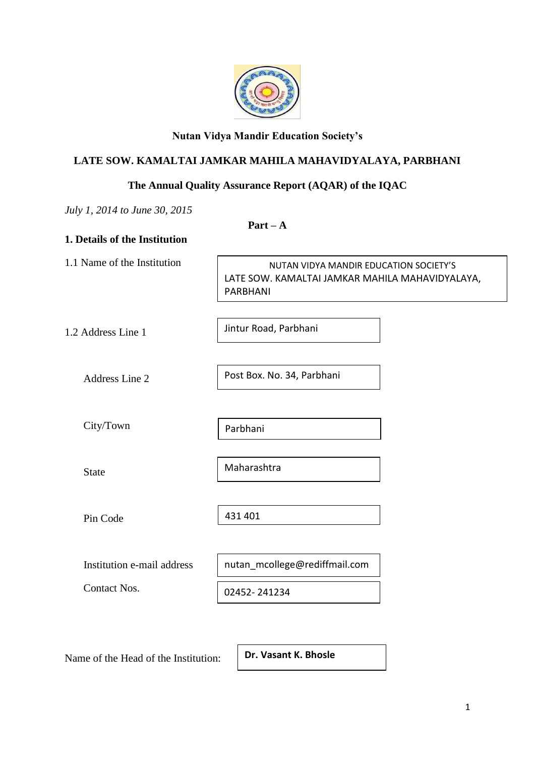

# **Nutan Vidya Mandir Education Society's**

# **LATE SOW. KAMALTAI JAMKAR MAHILA MAHAVIDYALAYA, PARBHANI**

# **The Annual Quality Assurance Report (AQAR) of the IQAC**

*July 1, 2014 to June 30, 2015*

**Part – A**

| NUTAN VIDYA MANDIR EDUCATION SOCIETY'S<br>LATE SOW. KAMALTAI JAMKAR MAHILA MAHAVIDYALAYA,<br>PARBHANI |  |  |
|-------------------------------------------------------------------------------------------------------|--|--|
| Jintur Road, Parbhani                                                                                 |  |  |
| Post Box. No. 34, Parbhani                                                                            |  |  |
| Parbhani                                                                                              |  |  |
| Maharashtra                                                                                           |  |  |
| 431 401                                                                                               |  |  |
| nutan_mcollege@rediffmail.com                                                                         |  |  |
| 02452-241234                                                                                          |  |  |
|                                                                                                       |  |  |

Name of the Head of the Institution:

**Dr. Vasant K. Bhosle**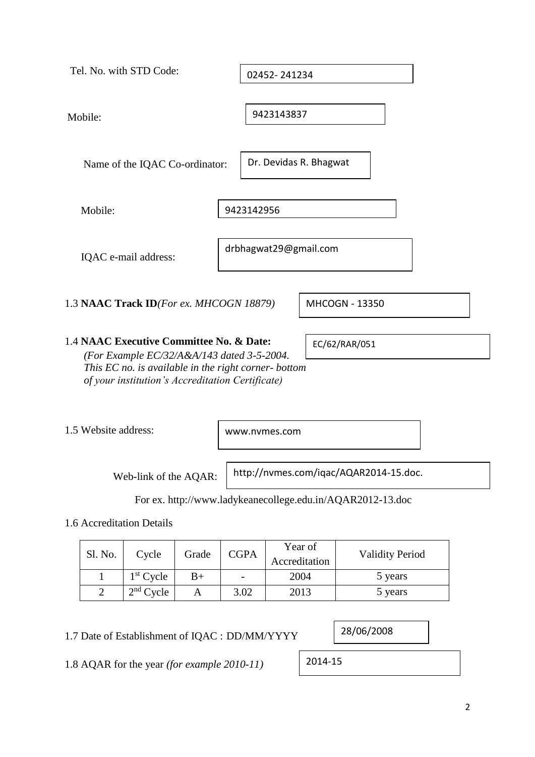| Tel. No. with STD Code:                                                                                                                                                                           | 02452-241234                                               |
|---------------------------------------------------------------------------------------------------------------------------------------------------------------------------------------------------|------------------------------------------------------------|
|                                                                                                                                                                                                   |                                                            |
| Mobile:                                                                                                                                                                                           | 9423143837                                                 |
| Name of the IQAC Co-ordinator:                                                                                                                                                                    | Dr. Devidas R. Bhagwat                                     |
| Mobile:                                                                                                                                                                                           | 9423142956                                                 |
| IQAC e-mail address:                                                                                                                                                                              | drbhagwat29@gmail.com                                      |
| 1.3 NAAC Track ID(For ex. MHCOGN 18879)                                                                                                                                                           | MHCOGN - 13350                                             |
| 1.4 NAAC Executive Committee No. & Date:<br>(For Example EC/32/A&A/143 dated 3-5-2004.<br>This EC no. is available in the right corner-bottom<br>of your institution's Accreditation Certificate) | EC/62/RAR/051                                              |
| 1.5 Website address:                                                                                                                                                                              | www.nymes.com                                              |
| Web-link of the AQAR:                                                                                                                                                                             | http://nvmes.com/iqac/AQAR2014-15.doc.                     |
|                                                                                                                                                                                                   | For ex. http://www.ladykeanecollege.edu.in/AQAR2012-13.doc |

1.6 Accreditation Details

| Sl. No. | Cycle       | Grade | <b>CGPA</b> | Year of<br>Accreditation | <b>Validity Period</b> |
|---------|-------------|-------|-------------|--------------------------|------------------------|
|         | $1st$ Cycle | $B+$  |             | 2004                     | 5 years                |
|         | $2nd$ Cycle |       | 3.02        | 2013                     | 5 years                |

1.7 Date of Establishment of IQAC : DD/MM/YYYY

28/06/2008

1.8 AQAR for the year *(for example 2010-11)*

2014-15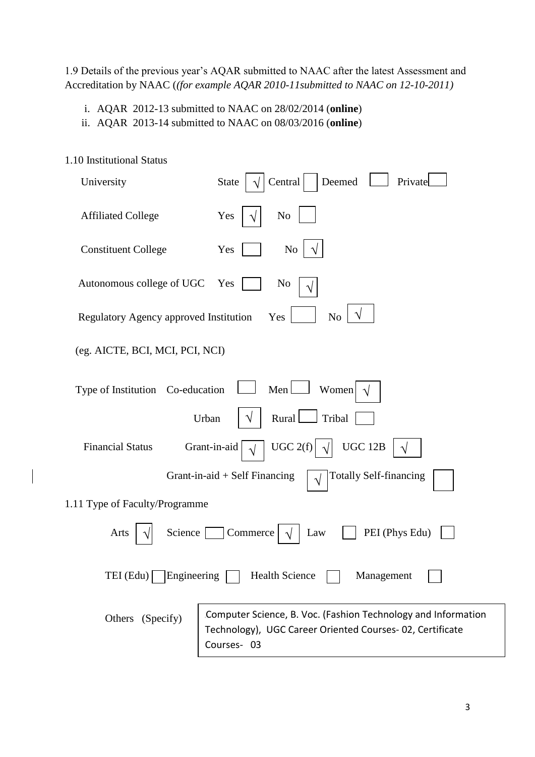1.9 Details of the previous year's AQAR submitted to NAAC after the latest Assessment and Accreditation by NAAC (*(for example AQAR 2010-11submitted to NAAC on 12-10-2011)*

- i. AQAR 2012-13 submitted to NAAC on 28/02/2014 (**online**)
- ii. AQAR 2013-14 submitted to NAAC on 08/03/2016 (**online**)

| 1.10 Institutional Status                                               |                                                                                                                                         |  |  |  |  |
|-------------------------------------------------------------------------|-----------------------------------------------------------------------------------------------------------------------------------------|--|--|--|--|
| University                                                              | Central<br>Deemed<br>Private<br>State                                                                                                   |  |  |  |  |
| <b>Affiliated College</b>                                               | N <sub>0</sub><br>Yes                                                                                                                   |  |  |  |  |
| <b>Constituent College</b>                                              | Yes<br>N <sub>o</sub>                                                                                                                   |  |  |  |  |
| Autonomous college of UGC                                               | Yes<br>No                                                                                                                               |  |  |  |  |
| Regulatory Agency approved Institution                                  | N <sub>o</sub><br>Yes                                                                                                                   |  |  |  |  |
| (eg. AICTE, BCI, MCI, PCI, NCI)                                         |                                                                                                                                         |  |  |  |  |
| Type of Institution Co-education                                        | Men<br>Women<br>$\sqrt{ }$                                                                                                              |  |  |  |  |
| Rural<br>Tribal<br>Urban                                                |                                                                                                                                         |  |  |  |  |
| UGC $2(f)$<br><b>UGC 12B</b><br><b>Financial Status</b><br>Grant-in-aid |                                                                                                                                         |  |  |  |  |
| <b>Totally Self-financing</b><br>Grant-in-aid $+$ Self Financing        |                                                                                                                                         |  |  |  |  |
| 1.11 Type of Faculty/Programme                                          |                                                                                                                                         |  |  |  |  |
| PEI (Phys Edu)<br>Science<br>Commerce<br>Law<br>Arts                    |                                                                                                                                         |  |  |  |  |
| TEI $(Edu)$ Engineering<br><b>Health Science</b><br>Management          |                                                                                                                                         |  |  |  |  |
| Others (Specify)                                                        | Computer Science, B. Voc. (Fashion Technology and Information<br>Technology), UGC Career Oriented Courses-02, Certificate<br>Courses-03 |  |  |  |  |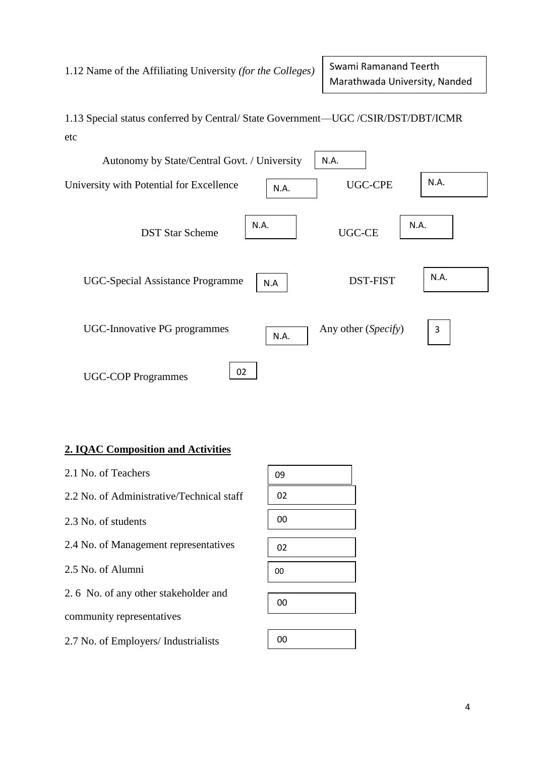1.13 Special status conferred by Central/ State Government—UGC /CSIR/DST/DBT/ICMR etc



# **2. IQAC Composition and Activities**

| 2.1 No. of Teachers                       |  |
|-------------------------------------------|--|
| 2.2 No. of Administrative/Technical staff |  |
| 2.3 No. of students                       |  |
| 2.4 No. of Management representatives     |  |
| 2.5 No. of Alumni                         |  |
| 2.6 No. of any other stakeholder and      |  |
| community representatives                 |  |

2.7 No. of Employers/ Industrialists

| 09 |  |
|----|--|
| 02 |  |
| 00 |  |
| 02 |  |
| 00 |  |
|    |  |
| 00 |  |

| nn |  |
|----|--|
|    |  |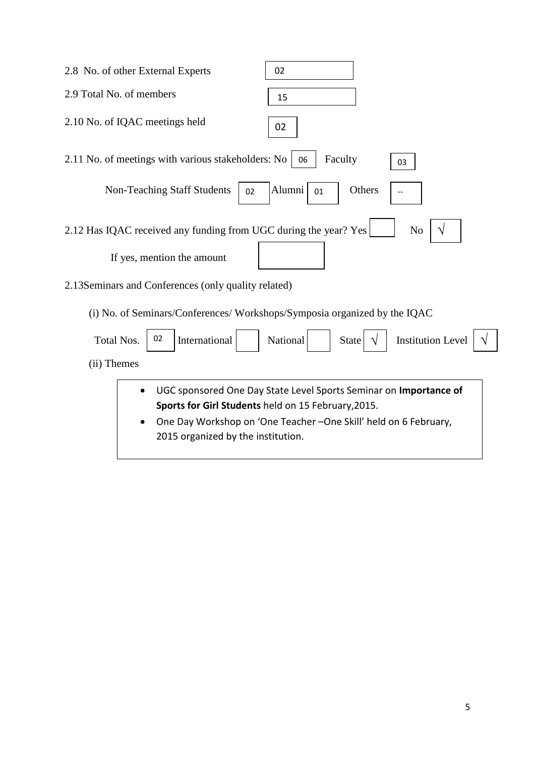| 2.8 No. of other External Experts                                                         | 02                                                                                                                                    |
|-------------------------------------------------------------------------------------------|---------------------------------------------------------------------------------------------------------------------------------------|
| 2.9 Total No. of members                                                                  | 15                                                                                                                                    |
| 2.10 No. of IQAC meetings held                                                            | 02                                                                                                                                    |
| 2.11 No. of meetings with various stakeholders: No                                        | Faculty<br>06<br>03                                                                                                                   |
| <b>Non-Teaching Staff Students</b><br>02                                                  | Alumni<br>Others<br>01                                                                                                                |
| 2.12 Has IQAC received any funding from UGC during the year? Yes                          | N <sub>o</sub>                                                                                                                        |
| If yes, mention the amount                                                                |                                                                                                                                       |
| 2.13 Seminars and Conferences (only quality related)                                      |                                                                                                                                       |
| (i) No. of Seminars/Conferences/Workshops/Symposia organized by the IQAC                  |                                                                                                                                       |
| 02<br><b>Total Nos.</b><br>International                                                  | <b>Institution Level</b><br>National<br><b>State</b>                                                                                  |
| (ii) Themes                                                                               |                                                                                                                                       |
| Sports for Girl Students held on 15 February, 2015.<br>2015 organized by the institution. | UGC sponsored One Day State Level Sports Seminar on Importance of<br>One Day Workshop on 'One Teacher -One Skill' held on 6 February, |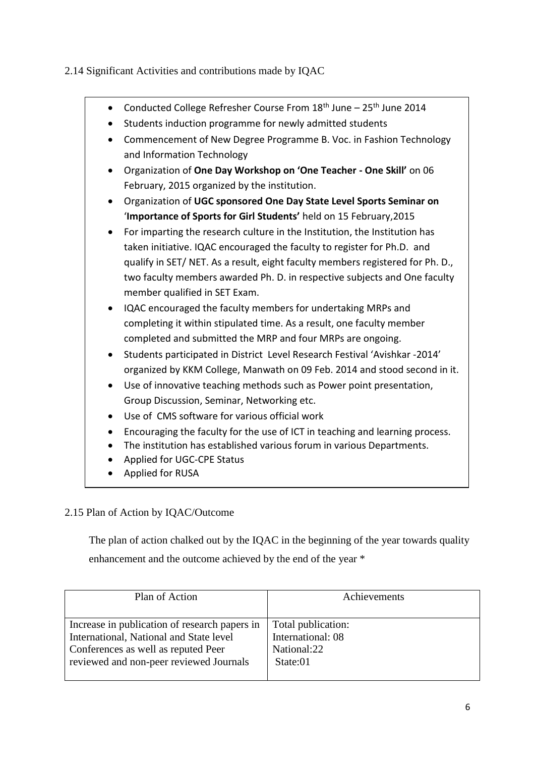2.14 Significant Activities and contributions made by IQAC

- Conducted College Refresher Course From  $18<sup>th</sup>$  June  $-25<sup>th</sup>$  June 2014
- Students induction programme for newly admitted students
- Commencement of New Degree Programme B. Voc. in Fashion Technology and Information Technology
- Organization of **One Day Workshop on 'One Teacher - One Skill'** on 06 February, 2015 organized by the institution.
- Organization of **UGC sponsored One Day State Level Sports Seminar on** '**Importance of Sports for Girl Students'** held on 15 February,2015
- For imparting the research culture in the Institution, the Institution has taken initiative. IQAC encouraged the faculty to register for Ph.D. and qualify in SET/ NET. As a result, eight faculty members registered for Ph. D., two faculty members awarded Ph. D. in respective subjects and One faculty member qualified in SET Exam.
- IQAC encouraged the faculty members for undertaking MRPs and completing it within stipulated time. As a result, one faculty member completed and submitted the MRP and four MRPs are ongoing.
- Students participated in District Level Research Festival 'Avishkar -2014' organized by KKM College, Manwath on 09 Feb. 2014 and stood second in it.
- Use of innovative teaching methods such as Power point presentation, Group Discussion, Seminar, Networking etc.
- Use of CMS software for various official work
- Encouraging the faculty for the use of ICT in teaching and learning process.
- The institution has established various forum in various Departments.
- Applied for UGC-CPE Status
- Applied for RUSA

# 2.15 Plan of Action by IQAC/Outcome

 The plan of action chalked out by the IQAC in the beginning of the year towards quality enhancement and the outcome achieved by the end of the year \*

| Plan of Action                                | Achievements       |  |
|-----------------------------------------------|--------------------|--|
|                                               |                    |  |
| Increase in publication of research papers in | Total publication: |  |
| International, National and State level       | International: 08  |  |
| Conferences as well as reputed Peer           | National:22        |  |
| reviewed and non-peer reviewed Journals       | State:01           |  |
|                                               |                    |  |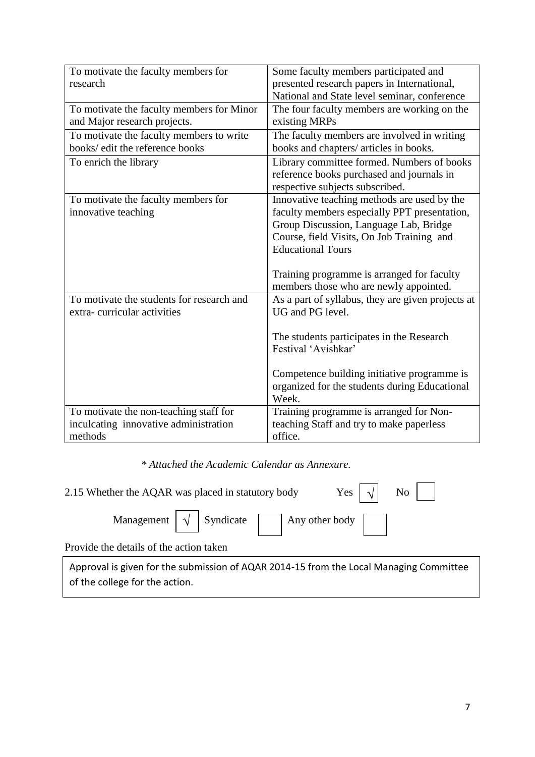| To motivate the faculty members for<br>research                                            | Some faculty members participated and<br>presented research papers in International,<br>National and State level seminar, conference                                                                           |
|--------------------------------------------------------------------------------------------|----------------------------------------------------------------------------------------------------------------------------------------------------------------------------------------------------------------|
| To motivate the faculty members for Minor<br>and Major research projects.                  | The four faculty members are working on the<br>existing MRPs                                                                                                                                                   |
| To motivate the faculty members to write<br>books/ edit the reference books                | The faculty members are involved in writing<br>books and chapters/ articles in books.                                                                                                                          |
| To enrich the library                                                                      | Library committee formed. Numbers of books<br>reference books purchased and journals in<br>respective subjects subscribed.                                                                                     |
| To motivate the faculty members for<br>innovative teaching                                 | Innovative teaching methods are used by the<br>faculty members especially PPT presentation,<br>Group Discussion, Language Lab, Bridge<br>Course, field Visits, On Job Training and<br><b>Educational Tours</b> |
|                                                                                            | Training programme is arranged for faculty<br>members those who are newly appointed.                                                                                                                           |
| To motivate the students for research and<br>extra-curricular activities                   | As a part of syllabus, they are given projects at<br>UG and PG level.                                                                                                                                          |
|                                                                                            | The students participates in the Research<br>Festival 'Avishkar'                                                                                                                                               |
|                                                                                            | Competence building initiative programme is<br>organized for the students during Educational<br>Week.                                                                                                          |
| To motivate the non-teaching staff for<br>inculcating innovative administration<br>methods | Training programme is arranged for Non-<br>teaching Staff and try to make paperless<br>office.                                                                                                                 |

*\* Attached the Academic Calendar as Annexure.*

| Yes $\vert \sqrt{\vert}$ No $\vert$  <br>2.15 Whether the AQAR was placed in statutory body        |  |  |  |
|----------------------------------------------------------------------------------------------------|--|--|--|
| Management $\boxed{\sqrt{ }}$ Syndicate $\boxed{\phantom{ }}$ Any other body $\boxed{\phantom{ }}$ |  |  |  |
| Provide the details of the action taken                                                            |  |  |  |

Approval is given for the submission of AQAR 2014-15 from the Local Managing Committee of the college for the action.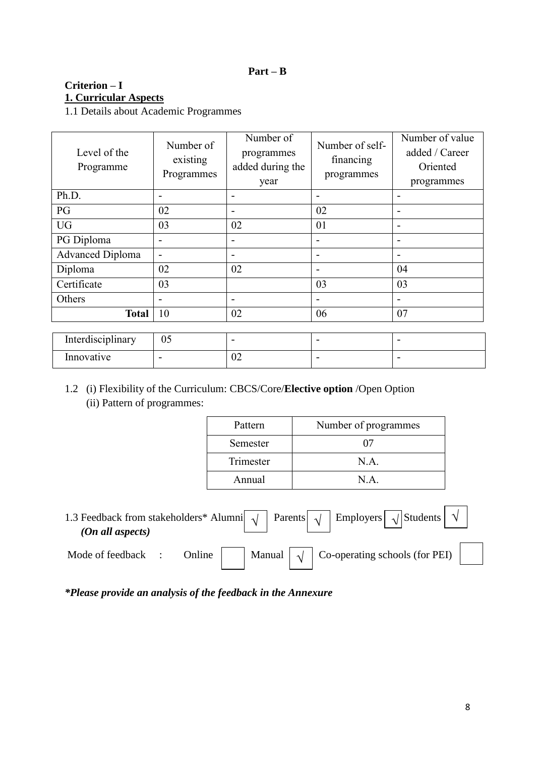#### **Part – B**

# **Criterion – I 1. Curricular Aspects**

1.1 Details about Academic Programmes

| Level of the<br>Programme | Number of<br>existing<br>Programmes | Number of<br>programmes<br>added during the<br>year | Number of self-<br>financing<br>programmes | Number of value<br>added / Career<br>Oriented<br>programmes |
|---------------------------|-------------------------------------|-----------------------------------------------------|--------------------------------------------|-------------------------------------------------------------|
| Ph.D.                     | $\overline{\phantom{0}}$            | $\overline{\phantom{0}}$                            | $\overline{\phantom{a}}$                   | $\overline{\phantom{0}}$                                    |
| PG                        | 02                                  | $\overline{\phantom{0}}$                            | 02                                         |                                                             |
| <b>UG</b>                 | 03                                  | 02                                                  | 01                                         | $\overline{\phantom{0}}$                                    |
| PG Diploma                | $\overline{a}$                      | $\overline{a}$                                      | -                                          |                                                             |
| <b>Advanced Diploma</b>   | $\overline{a}$                      | $\overline{\phantom{0}}$                            | $\overline{\phantom{a}}$                   |                                                             |
| Diploma                   | 02                                  | 02                                                  | $\overline{\phantom{0}}$                   | 04                                                          |
| Certificate               | 03                                  |                                                     | 03                                         | 03                                                          |
| Others                    |                                     | $\overline{\phantom{0}}$                            | $\overline{\phantom{a}}$                   |                                                             |
| <b>Total</b>              | 10                                  | 02                                                  | 06                                         | 07                                                          |
| Interdisciplinary         | 05                                  | $\overline{\phantom{0}}$                            |                                            |                                                             |

1.2 (i) Flexibility of the Curriculum: CBCS/Core/**Elective option** /Open Option (ii) Pattern of programmes:

 $\boxed{\cdot}$  -  $\boxed{\cdot}$  -  $\boxed{\cdot}$  -  $\boxed{\cdot}$  -

| Pattern   | Number of programmes |
|-----------|----------------------|
| Semester  | 07                   |
| Trimester | N A                  |
| Annual    | N A                  |

| 1.3 Feedback from stakeholders* Alumni $\boxed{\sqrt{ }}$ Parents $\boxed{\sqrt{ }}$ Employers $\boxed{\sqrt{ }}$ Students $\boxed{\sqrt{ }}$<br>(On all aspects) |        |  |  |                                                            |  |  |
|-------------------------------------------------------------------------------------------------------------------------------------------------------------------|--------|--|--|------------------------------------------------------------|--|--|
| Mode of feedback                                                                                                                                                  | Online |  |  | Manual $\vert \sqrt{\vert}$ Co-operating schools (for PEI) |  |  |

*\*Please provide an analysis of the feedback in the Annexure*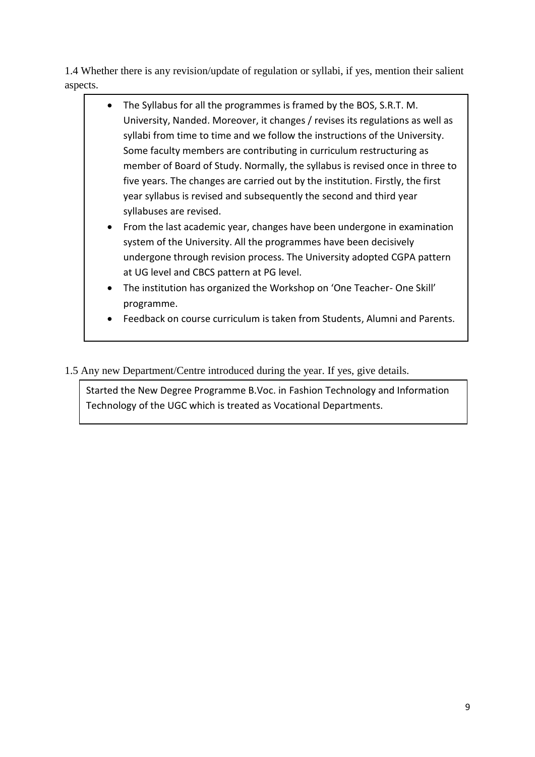1.4 Whether there is any revision/update of regulation or syllabi, if yes, mention their salient aspects.

- The Syllabus for all the programmes is framed by the BOS, S.R.T. M. University, Nanded. Moreover, it changes / revises its regulations as well as syllabi from time to time and we follow the instructions of the University. Some faculty members are contributing in curriculum restructuring as member of Board of Study. Normally, the syllabus is revised once in three to five years. The changes are carried out by the institution. Firstly, the first year syllabus is revised and subsequently the second and third year syllabuses are revised.
	- From the last academic year, changes have been undergone in examination system of the University. All the programmes have been decisively undergone through revision process. The University adopted CGPA pattern at UG level and CBCS pattern at PG level.
	- The institution has organized the Workshop on 'One Teacher- One Skill' programme.
- Feedback on course curriculum is taken from Students, Alumni and Parents.
- 1.5 Any new Department/Centre introduced during the year. If yes, give details.

Started the New Degree Programme B.Voc. in Fashion Technology and Information Technology of the UGC which is treated as Vocational Departments.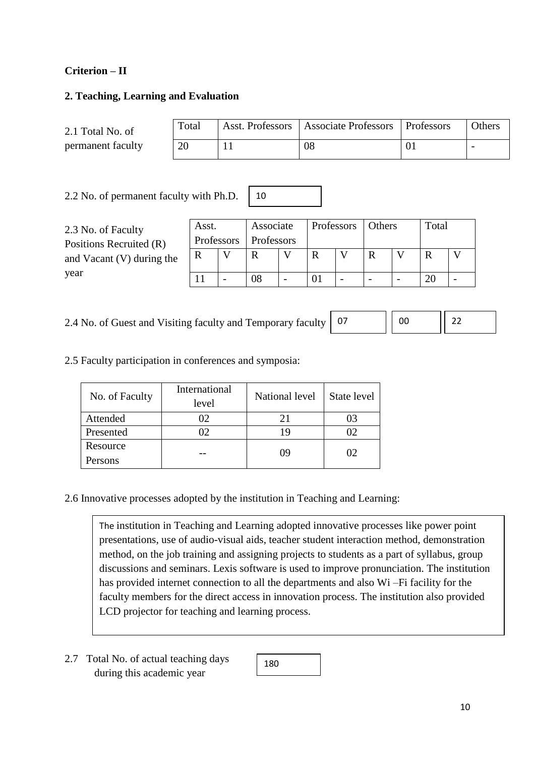## **Criterion – II**

#### **2. Teaching, Learning and Evaluation**

| 2.1 Total No. of  | Total | Asst. Professors   Associate Professors   Professors | <b>Others</b>            |
|-------------------|-------|------------------------------------------------------|--------------------------|
| permanent faculty | 20    | 08                                                   | $\overline{\phantom{0}}$ |

2.2 No. of permanent faculty with Ph.D.

| 2.3 No. of Faculty<br>Positions Recruited (R) | Asst.<br>Professors | Associate<br>Professors | Professors | Others |                          | Total |  |
|-----------------------------------------------|---------------------|-------------------------|------------|--------|--------------------------|-------|--|
| and Vacant $(V)$ during the                   |                     | R                       |            |        |                          | R     |  |
| year                                          |                     | 08                      |            |        | $\overline{\phantom{0}}$ | 20    |  |

10

2.4 No. of Guest and Visiting faculty and Temporary faculty  $\begin{bmatrix} 0 \\ 0 \end{bmatrix}$ 

| 07 | $\sim$<br>m |  |
|----|-------------|--|
|    |             |  |

2.5 Faculty participation in conferences and symposia:

| No. of Faculty | International<br>level | National level | State level |
|----------------|------------------------|----------------|-------------|
| Attended       | 02                     | 21             |             |
| Presented      |                        | 19             |             |
| Resource       |                        | 09             | 1)2         |
| Persons        |                        |                |             |

2.6 Innovative processes adopted by the institution in Teaching and Learning:

The institution in Teaching and Learning adopted innovative processes like power point presentations, use of audio-visual aids, teacher student interaction method, demonstration method, on the job training and assigning projects to students as a part of syllabus, group discussions and seminars. Lexis software is used to improve pronunciation. The institution has provided internet connection to all the departments and also Wi –Fi facility for the faculty members for the direct access in innovation process. The institution also provided LCD projector for teaching and learning process.

2.7 Total No. of actual teaching days during this academic year

180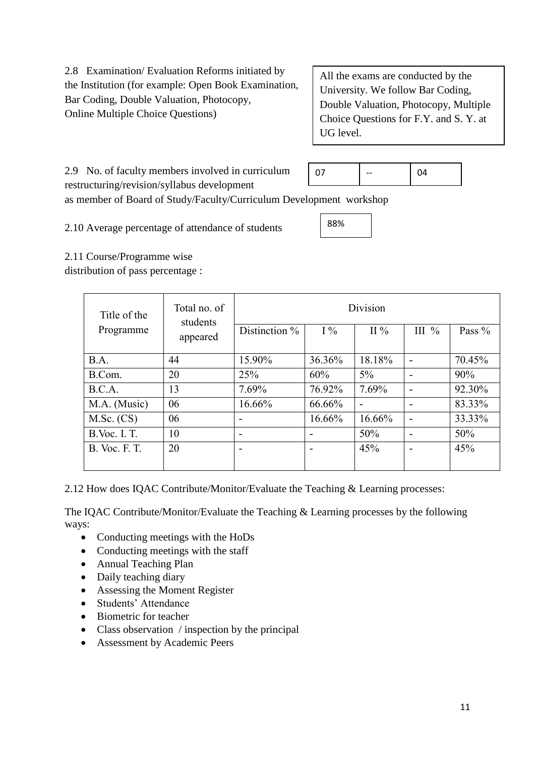2.8 Examination/ Evaluation Reforms initiated by the Institution (for example: Open Book Examination, Bar Coding, Double Valuation, Photocopy, Online Multiple Choice Questions)

All the exams are conducted by the University. We follow Bar Coding, Double Valuation, Photocopy, Multiple Choice Questions for F.Y. and S. Y. at UG level.

2.9 No. of faculty members involved in curriculum 07 | -- | 04

88%

restructuring/revision/syllabus development

as member of Board of Study/Faculty/Curriculum Development workshop

2.10 Average percentage of attendance of students

2.11 Course/Programme wise

distribution of pass percentage :

| Title of the         | Total no. of<br>students |               |        | Division |          |          |
|----------------------|--------------------------|---------------|--------|----------|----------|----------|
| Programme            | appeared                 | Distinction % | $I\%$  | II $\%$  | III $\%$ | Pass $%$ |
| B.A.                 | 44                       | 15.90%        | 36.36% | 18.18%   |          | 70.45%   |
| B.Com.               | 20                       | 25%           | 60%    | $5\%$    |          | 90%      |
| B.C.A.               | 13                       | 7.69%         | 76.92% | 7.69%    |          | 92.30%   |
| M.A. (Music)         | 06                       | 16.66%        | 66.66% |          |          | 83.33%   |
| $M.Sc.$ (CS)         | 06                       |               | 16.66% | 16.66%   |          | 33.33%   |
| <b>B.Voc. I. T.</b>  | 10                       |               |        | 50%      |          | 50%      |
| <b>B.</b> Voc. F. T. | 20                       |               |        | 45%      |          | 45%      |

2.12 How does IQAC Contribute/Monitor/Evaluate the Teaching & Learning processes:

The IQAC Contribute/Monitor/Evaluate the Teaching & Learning processes by the following ways:

- Conducting meetings with the HoDs
- Conducting meetings with the staff
- Annual Teaching Plan
- Daily teaching diary
- Assessing the Moment Register
- Students' Attendance
- Biometric for teacher
- Class observation / inspection by the principal
- Assessment by Academic Peers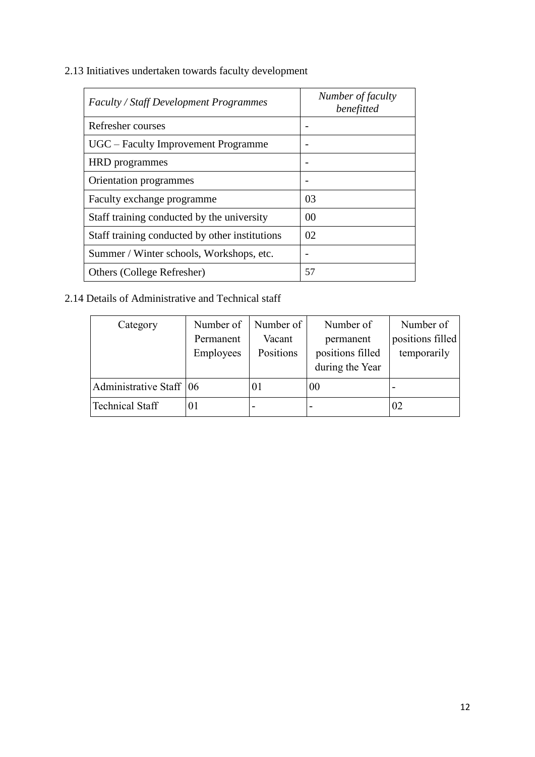2.13 Initiatives undertaken towards faculty development

| Faculty / Staff Development Programmes         | Number of faculty<br>benefitted |
|------------------------------------------------|---------------------------------|
| Refresher courses                              |                                 |
| UGC – Faculty Improvement Programme            |                                 |
| <b>HRD</b> programmes                          |                                 |
| Orientation programmes                         |                                 |
| Faculty exchange programme                     | 03                              |
| Staff training conducted by the university     | 00                              |
| Staff training conducted by other institutions | 02                              |
| Summer / Winter schools, Workshops, etc.       | -                               |
| Others (College Refresher)                     | 57                              |

# 2.14 Details of Administrative and Technical staff

| Category                  | Number of | Number of | Number of                | Number of        |
|---------------------------|-----------|-----------|--------------------------|------------------|
|                           | Permanent | Vacant    | permanent                | positions filled |
|                           | Employees | Positions | positions filled         | temporarily      |
|                           |           |           | during the Year          |                  |
| Administrative Staff   06 |           | $_{01}$   | 00                       |                  |
| <b>Technical Staff</b>    | 01        |           | $\overline{\phantom{a}}$ | 02               |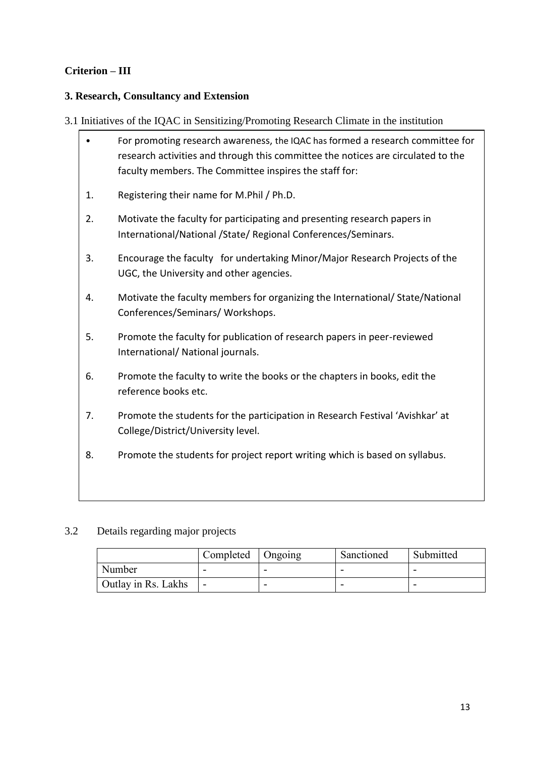# **Criterion – III**

# **3. Research, Consultancy and Extension**

3.1 Initiatives of the IQAC in Sensitizing/Promoting Research Climate in the institution

|    | For promoting research awareness, the IQAC has formed a research committee for<br>research activities and through this committee the notices are circulated to the<br>faculty members. The Committee inspires the staff for: |
|----|------------------------------------------------------------------------------------------------------------------------------------------------------------------------------------------------------------------------------|
| 1. | Registering their name for M.Phil / Ph.D.                                                                                                                                                                                    |
| 2. | Motivate the faculty for participating and presenting research papers in<br>International/National /State/ Regional Conferences/Seminars.                                                                                    |
| 3. | Encourage the faculty for undertaking Minor/Major Research Projects of the<br>UGC, the University and other agencies.                                                                                                        |
| 4. | Motivate the faculty members for organizing the International/ State/National<br>Conferences/Seminars/ Workshops.                                                                                                            |
| 5. | Promote the faculty for publication of research papers in peer-reviewed<br>International/ National journals.                                                                                                                 |
| 6. | Promote the faculty to write the books or the chapters in books, edit the<br>reference books etc.                                                                                                                            |
| 7. | Promote the students for the participation in Research Festival 'Avishkar' at<br>College/District/University level.                                                                                                          |
| 8. | Promote the students for project report writing which is based on syllabus.                                                                                                                                                  |

# 3.2 Details regarding major projects

|                            | Completed   Ongoing      |   | Sanctioned               | Submitted |
|----------------------------|--------------------------|---|--------------------------|-----------|
| Number                     |                          | - | $\overline{\phantom{0}}$ |           |
| <b>Outlay in Rs. Lakhs</b> | $\overline{\phantom{0}}$ |   | -                        |           |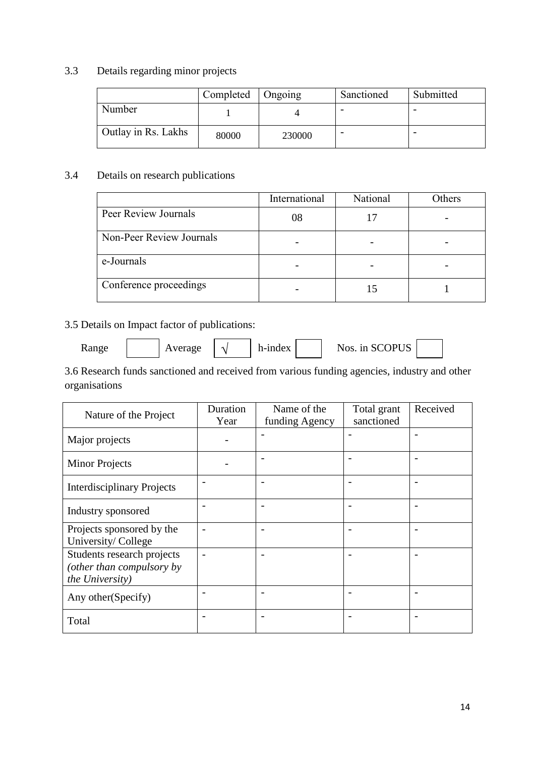## 3.3 Details regarding minor projects

|                     | Completed | $\Box$ Ongoing | Sanctioned | Submitted |
|---------------------|-----------|----------------|------------|-----------|
| Number              |           |                |            |           |
| Outlay in Rs. Lakhs | 80000     | 230000         |            |           |

# 3.4 Details on research publications

|                          | International | National | Others |
|--------------------------|---------------|----------|--------|
| Peer Review Journals     | 08            |          |        |
| Non-Peer Review Journals |               |          |        |
| e-Journals               |               |          |        |
| Conference proceedings   |               |          |        |

# 3.5 Details on Impact factor of publications:

√

Range  $\vert \psi \rangle$  Average  $\vert \psi \rangle$  h-index  $\vert \psi \rangle$  Nos. in SCOPUS

3.6 Research funds sanctioned and received from various funding agencies, industry and other organisations

| Nature of the Project                                                      | Duration<br>Year | Name of the<br>funding Agency | Total grant<br>sanctioned | Received |
|----------------------------------------------------------------------------|------------------|-------------------------------|---------------------------|----------|
| Major projects                                                             |                  |                               |                           |          |
| <b>Minor Projects</b>                                                      |                  |                               |                           |          |
| <b>Interdisciplinary Projects</b>                                          |                  | $\overline{\phantom{0}}$      | $\overline{a}$            |          |
| Industry sponsored                                                         |                  | $\overline{a}$                | $\overline{\phantom{0}}$  |          |
| Projects sponsored by the<br>University/College                            |                  | $\overline{\phantom{0}}$      | $\overline{\phantom{0}}$  |          |
| Students research projects<br>(other than compulsory by<br>the University) |                  |                               |                           |          |
| Any other (Specify)                                                        |                  |                               |                           |          |
| Total                                                                      |                  |                               | $\overline{\phantom{0}}$  |          |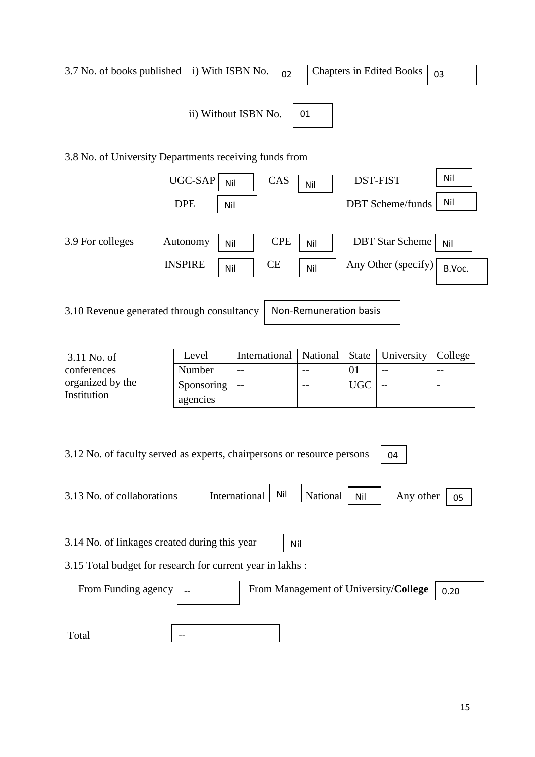| 3.7 No. of books published i) With ISBN No.<br><b>Chapters in Edited Books</b><br>02<br>03                                                                   |                        |            |          |              |                                       |                          |
|--------------------------------------------------------------------------------------------------------------------------------------------------------------|------------------------|------------|----------|--------------|---------------------------------------|--------------------------|
| ii) Without ISBN No.<br>01                                                                                                                                   |                        |            |          |              |                                       |                          |
| 3.8 No. of University Departments receiving funds from                                                                                                       |                        |            |          |              |                                       |                          |
|                                                                                                                                                              | UGC-SAP<br>Nil         | CAS        | Nil      |              | <b>DST-FIST</b>                       | Nil                      |
|                                                                                                                                                              | <b>DPE</b><br>Nil      |            |          |              | <b>DBT</b> Scheme/funds               | Nil                      |
| 3.9 For colleges                                                                                                                                             | Autonomy<br>Nil        | <b>CPE</b> | Nil      |              | <b>DBT</b> Star Scheme                | Nil                      |
|                                                                                                                                                              | <b>INSPIRE</b><br>Nil  | <b>CE</b>  | Nil      |              | Any Other (specify)                   | B.Voc.                   |
| 3.10 Revenue generated through consultancy<br>Non-Remuneration basis                                                                                         |                        |            |          |              |                                       |                          |
| 3.11 No. of                                                                                                                                                  | International<br>Level |            | National | <b>State</b> | University                            | College                  |
| conferences                                                                                                                                                  | Number                 | $-$        | $-$      | 01           | $-$                                   |                          |
| organized by the<br>Institution                                                                                                                              | Sponsoring<br>agencies | $-$        | $-$      | <b>UGC</b>   | $\overline{a}$                        | $\overline{\phantom{a}}$ |
| 3.12 No. of faculty served as experts, chairpersons or resource persons<br>04<br>Nil<br>International<br>3.13 No. of collaborations<br>National<br>Any other |                        |            |          |              |                                       |                          |
|                                                                                                                                                              |                        |            |          | Nil          |                                       | 05                       |
| 3.14 No. of linkages created during this year<br>Nil                                                                                                         |                        |            |          |              |                                       |                          |
| 3.15 Total budget for research for current year in lakhs:                                                                                                    |                        |            |          |              |                                       |                          |
| From Funding agency                                                                                                                                          |                        |            |          |              | From Management of University/College | 0.20                     |
| Total                                                                                                                                                        |                        |            |          |              |                                       |                          |
|                                                                                                                                                              |                        |            |          |              |                                       |                          |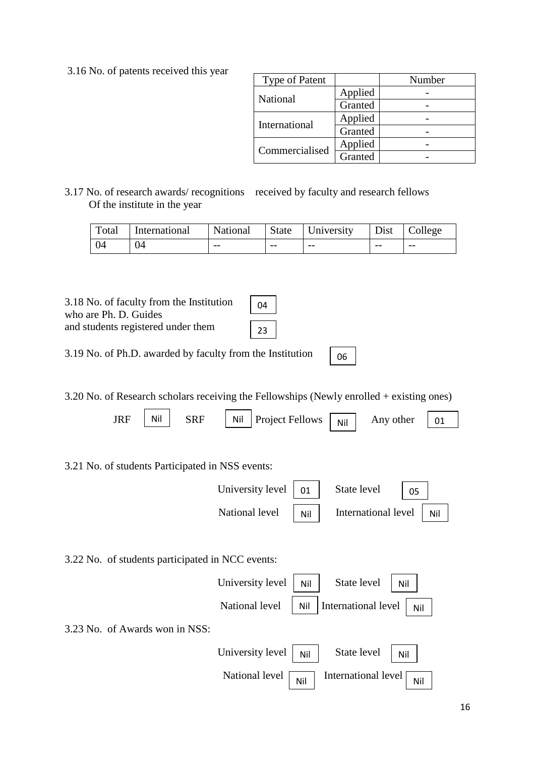3.16 No. of patents received this year

| <b>Type of Patent</b> |         | Number |
|-----------------------|---------|--------|
| National              | Applied |        |
|                       | Granted |        |
|                       | Applied |        |
| International         | Granted |        |
| Commercialised        | Applied |        |
|                       | Granted |        |

06

## 3.17 No. of research awards/ recognitions received by faculty and research fellows Of the institute in the year

| Total | International | National |       | $\vert$ State University |       | Dist College |
|-------|---------------|----------|-------|--------------------------|-------|--------------|
| $+04$ | 04            | $- -$    | $- -$ | $- -$                    | $- -$ | $- -$        |

04

23

3.18 No. of faculty from the Institution who are Ph. D. Guides and students registered under them

|  | 3.19 No. of Ph.D. awarded by faculty from the Institution |
|--|-----------------------------------------------------------|

3.20 No. of Research scholars receiving the Fellowships (Newly enrolled + existing ones)

| Nil<br><b>JRF</b><br><b>SRF</b><br>Nil           |                            |
|--------------------------------------------------|----------------------------|
| <b>Project Fellows</b>                           | Any other<br>01<br>Nil     |
|                                                  |                            |
| 3.21 No. of students Participated in NSS events: |                            |
| University level<br>01                           | State level<br>05          |
| National level<br>Nil                            | International level<br>Nil |
|                                                  |                            |
| 3.22 No. of students participated in NCC events: |                            |
| University level<br>Nil                          | State level<br>Nil         |
| National level<br>Nil                            | International level<br>Nil |
| 3.23 No. of Awards won in NSS:                   |                            |
| University level<br>Nil                          | State level<br>Nil         |
| National level<br>Nil                            | International level<br>Nil |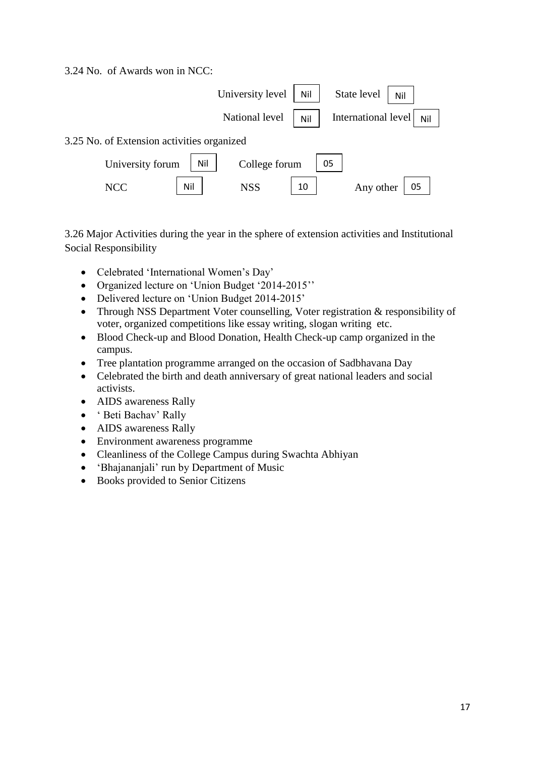#### 3.24 No. of Awards won in NCC:



3.26 Major Activities during the year in the sphere of extension activities and Institutional Social Responsibility

- Celebrated 'International Women's Day'
- Organized lecture on 'Union Budget '2014-2015''
- Delivered lecture on 'Union Budget 2014-2015'
- Through NSS Department Voter counselling, Voter registration & responsibility of voter, organized competitions like essay writing, slogan writing etc.
- Blood Check-up and Blood Donation, Health Check-up camp organized in the campus.
- Tree plantation programme arranged on the occasion of Sadbhavana Day
- Celebrated the birth and death anniversary of great national leaders and social activists.
- AIDS awareness Rally
- ' Beti Bachav' Rally
- AIDS awareness Rally
- Environment awareness programme
- Cleanliness of the College Campus during Swachta Abhiyan
- 'Bhajananjali' run by Department of Music
- Books provided to Senior Citizens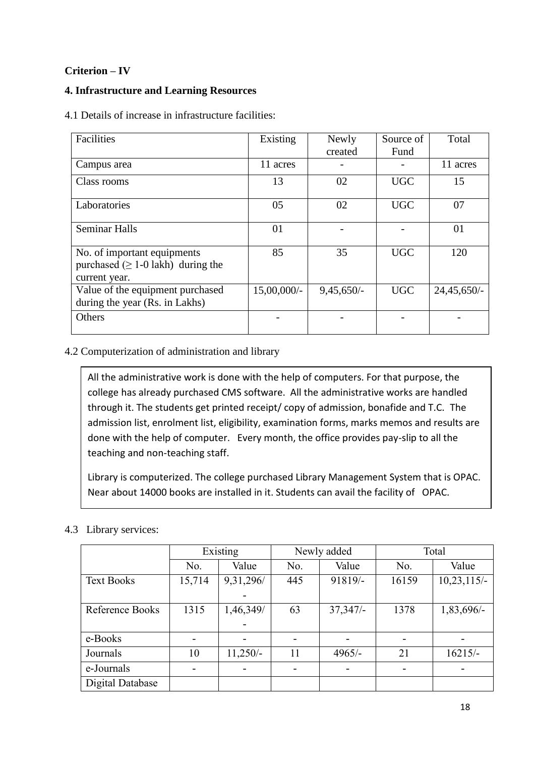# **Criterion – IV**

## **4. Infrastructure and Learning Resources**

4.1 Details of increase in infrastructure facilities:

| Facilities                                                                               | Existing       | Newly        | Source of  | Total         |
|------------------------------------------------------------------------------------------|----------------|--------------|------------|---------------|
|                                                                                          |                | created      | Fund       |               |
| Campus area                                                                              | 11 acres       |              |            | 11 acres      |
| Class rooms                                                                              | 13             | 02           | <b>UGC</b> | 15            |
| Laboratories                                                                             | 05             | 02           | <b>UGC</b> | 07            |
| <b>Seminar Halls</b>                                                                     | 01             |              |            | 01            |
| No. of important equipments<br>purchased ( $\geq 1$ -0 lakh) during the<br>current year. | 85             | 35           | <b>UGC</b> | 120           |
| Value of the equipment purchased<br>during the year (Rs. in Lakhs)                       | $15,00,000/$ - | $9,45,650/-$ | <b>UGC</b> | $24,45,650/-$ |
| Others                                                                                   |                |              |            |               |

## 4.2 Computerization of administration and library

All the administrative work is done with the help of computers. For that purpose, the college has already purchased CMS software. All the administrative works are handled through it. The students get printed receipt/ copy of admission, bonafide and T.C. The admission list, enrolment list, eligibility, examination forms, marks memos and results are done with the help of computer. Every month, the office provides pay-slip to all the teaching and non-teaching staff.

Library is computerized. The college purchased Library Management System that is OPAC. Near about 14000 books are installed in it. Students can avail the facility of OPAC.

|                   | Existing                     |                          | Newly added              |                          | Total                    |            |
|-------------------|------------------------------|--------------------------|--------------------------|--------------------------|--------------------------|------------|
|                   | No.                          | Value                    | No.                      | Value                    | No.                      | Value      |
| <b>Text Books</b> | 15,714                       | 9,31,296/                | 445                      | 91819/-                  | 16159                    | 10,23,115/ |
|                   |                              |                          |                          |                          |                          |            |
| Reference Books   | 1315                         | 1,46,349/                | 63                       | 37,347/                  | 1378                     | 1,83,696/- |
|                   |                              |                          |                          |                          |                          |            |
| e-Books           | $\qquad \qquad \blacksquare$ |                          |                          |                          | $\overline{\phantom{a}}$ |            |
| Journals          | 10                           | $11,250/-$               | 11                       | $4965/-$                 | 21                       | $16215/-$  |
| e-Journals        | $\overline{\phantom{0}}$     | $\overline{\phantom{0}}$ | $\overline{\phantom{a}}$ | $\overline{\phantom{a}}$ | $\overline{\phantom{a}}$ |            |
| Digital Database  |                              |                          |                          |                          |                          |            |

# 4.3 Library services: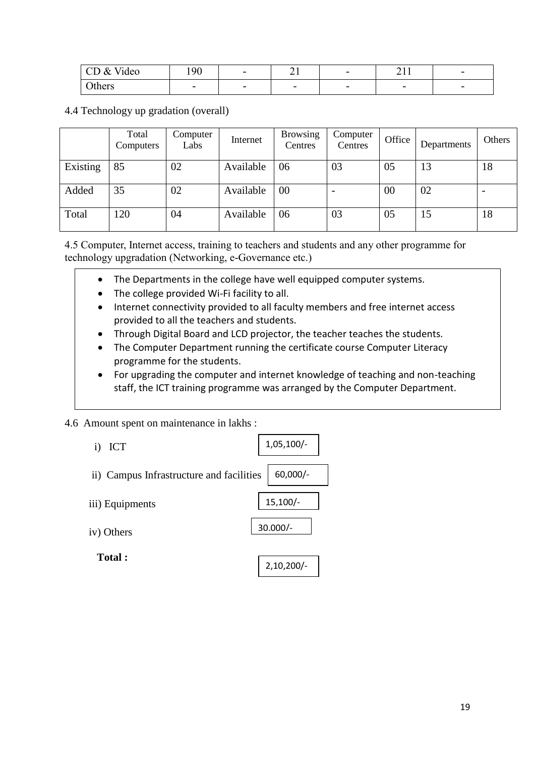| Video<br>$\&$<br>$\cap$<br>◡◡ | 190                      | $\overline{\phantom{0}}$ | <u>_</u>                 | $\overline{\phantom{0}}$ | $\bigcap$ 1.1<br>$\sim$ 1 1 | $\overline{\phantom{0}}$ |
|-------------------------------|--------------------------|--------------------------|--------------------------|--------------------------|-----------------------------|--------------------------|
| Others                        | $\overline{\phantom{0}}$ | $\overline{\phantom{0}}$ | $\overline{\phantom{0}}$ | $\overline{\phantom{0}}$ | $\overline{\phantom{0}}$    | $\overline{\phantom{0}}$ |

4.4 Technology up gradation (overall)

|          | Total<br>Computers | Computer<br>Labs | Internet  | <b>Browsing</b><br>Centres | Computer<br>Centres | Office | Departments | Others                   |
|----------|--------------------|------------------|-----------|----------------------------|---------------------|--------|-------------|--------------------------|
| Existing | 85                 | 02               | Available | 06                         | 03                  | 05     | 13          | 18                       |
| Added    | 35                 | 02               | Available | 00                         |                     | 00     | 02          | $\overline{\phantom{0}}$ |
| Total    | 120                | 04               | Available | 06                         | 03                  | 05     | 15          | 18                       |

4.5 Computer, Internet access, training to teachers and students and any other programme for technology upgradation (Networking, e-Governance etc.)

- The Departments in the college have well equipped computer systems.
- The college provided Wi-Fi facility to all.
- Internet connectivity provided to all faculty members and free internet access provided to all the teachers and students.
- Through Digital Board and LCD projector, the teacher teaches the students.
- The Computer Department running the certificate course Computer Literacy programme for the students.
- For upgrading the computer and internet knowledge of teaching and non-teaching staff, the ICT training programme was arranged by the Computer Department.

4.6 Amount spent on maintenance in lakhs :

| <b>ICT</b><br>$\bf{1)}$                  | $1,05,100/-$ |
|------------------------------------------|--------------|
| ii) Campus Infrastructure and facilities | 60,000/-     |
| iii) Equipments                          | $15,100/-$   |
| iv) Others                               | $30.000/-$   |
| <b>Total:</b>                            | $2,10,200/-$ |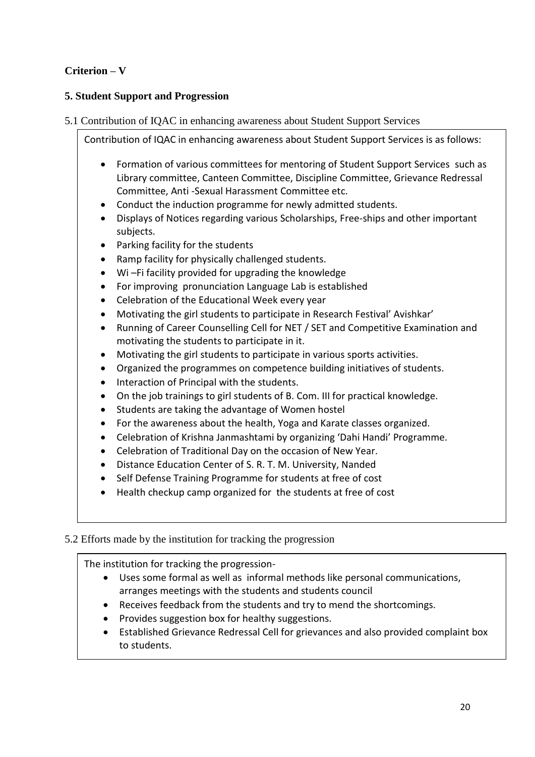# **Criterion – V**

## **5. Student Support and Progression**

### 5.1 Contribution of IQAC in enhancing awareness about Student Support Services

5.2 Efforts made by the institution for tracking the progression Formation of various committees for mentoring of Student Support Services such as Library committee, Canteen Committee, Discipline Committee, Grievance Redressal Committee, Anti -Sexual Harassment Committee etc. Conduct the induction programme for newly admitted students. Displays of Notices regarding various Scholarships, Free-ships and other important subjects. • Parking facility for the students • Ramp facility for physically challenged students. Wi –Fi facility provided for upgrading the knowledge For improving pronunciation Language Lab is established Celebration of the Educational Week every year Motivating the girl students to participate in Research Festival' Avishkar' Running of Career Counselling Cell for NET / SET and Competitive Examination and motivating the students to participate in it. Motivating the girl students to participate in various sports activities. Organized the programmes on competence building initiatives of students. • Interaction of Principal with the students. On the job trainings to girl students of B. Com. III for practical knowledge. • Students are taking the advantage of Women hostel For the awareness about the health, Yoga and Karate classes organized. Celebration of Krishna Janmashtami by organizing 'Dahi Handi' Programme. Celebration of Traditional Day on the occasion of New Year. Distance Education Center of S. R. T. M. University, Nanded • Self Defense Training Programme for students at free of cost Health checkup camp organized for the students at free of cost

Contribution of IQAC in enhancing awareness about Student Support Services is as follows:

The institution for tracking the progression-

- Uses some formal as well as informal methods like personal communications, arranges meetings with the students and students council
- Receives feedback from the students and try to mend the shortcomings.
- Provides suggestion box for healthy suggestions.
- Established Grievance Redressal Cell for grievances and also provided complaint box to students.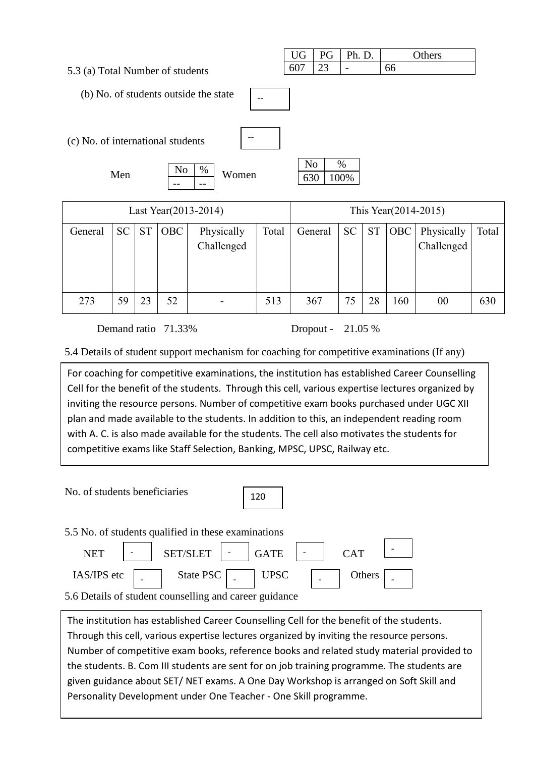|                                         | <b>UG</b>      | PG | Ph. D.                   | Others |
|-----------------------------------------|----------------|----|--------------------------|--------|
| 5.3 (a) Total Number of students        | 607            | 23 | $\overline{\phantom{0}}$ | 66     |
|                                         |                |    |                          |        |
| (b) No. of students outside the state   |                |    |                          |        |
|                                         |                |    |                          |        |
|                                         |                |    |                          |        |
| --<br>(c) No. of international students |                |    |                          |        |
|                                         |                |    |                          |        |
|                                         | N <sub>o</sub> |    | %                        |        |
| N <sub>0</sub><br>$\%$<br>Women<br>Men  | 630            |    | 100%                     |        |
| --                                      |                |    |                          |        |

| Last Year(2013-2014) |           |           |            |                          |       |         | This Year(2014-2015) |           |            |                          |       |
|----------------------|-----------|-----------|------------|--------------------------|-------|---------|----------------------|-----------|------------|--------------------------|-------|
| General              | <b>SC</b> | <b>ST</b> | <b>OBC</b> | Physically<br>Challenged | Total | General | <b>SC</b>            | <b>ST</b> | <b>OBC</b> | Physically<br>Challenged | Total |
| 273                  | 59        | 23        | 52         |                          | 513   | 367     | 75                   | 28        | 160        | 00                       | 630   |

Demand ratio 71.33% Dropout - 21.05 %

ֺ֝

5.4 Details of student support mechanism for coaching for competitive examinations (If any)

For coaching for competitive examinations, the institution has established Career Counselling Cell for the benefit of the students. Through this cell, various expertise lectures organized by inviting the resource persons. Number of competitive exam books purchased under UGC XII plan and made available to the students. In addition to this, an independent reading room with A. C. is also made available for the students. The cell also motivates the students for competitive exams like Staff Selection, Banking, MPSC, UPSC, Railway etc.

| No. of students beneficiaries<br>120                       |  |  |  |  |  |
|------------------------------------------------------------|--|--|--|--|--|
| 5.5 No. of students qualified in these examinations        |  |  |  |  |  |
| <b>GATE</b><br><b>SET/SLET</b><br><b>CAT</b><br><b>NET</b> |  |  |  |  |  |
| State PSC<br>IAS/IPS etc<br><b>UPSC</b><br>Others          |  |  |  |  |  |
| 5.6 Details of student counselling and career guidance     |  |  |  |  |  |

The institution has established Career Counselling Cell for the benefit of the students. Through this cell, various expertise lectures organized by inviting the resource persons. Number of competitive exam books, reference books and related study material provided to the students. B. Com III students are sent for on job training programme. The students are given guidance about SET/ NET exams. A One Day Workshop is arranged on Soft Skill and Personality Development under One Teacher - One Skill programme.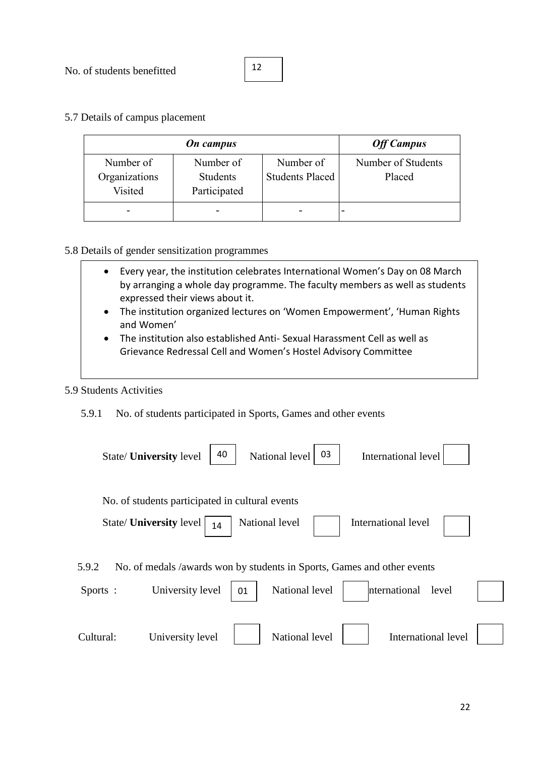5.7 Details of campus placement

|               | <b>On</b> campus |                        | <b>Off Campus</b>  |
|---------------|------------------|------------------------|--------------------|
| Number of     | Number of        | Number of              | Number of Students |
| Organizations | <b>Students</b>  | <b>Students Placed</b> | Placed             |
| Visited       | Participated     |                        |                    |
|               |                  |                        | -                  |

#### 5.8 Details of gender sensitization programmes

- Every year, the institution celebrates International Women's Day on 08 March by arranging a whole day programme. The faculty members as well as students expressed their views about it.
- The institution organized lectures on 'Women Empowerment', 'Human Rights and Women'
- The institution also established Anti- Sexual Harassment Cell as well as Grievance Redressal Cell and Women's Hostel Advisory Committee

#### 5.9 Students Activities

5.9.1 No. of students participated in Sports, Games and other events

| 03<br>40<br>National level<br>International level<br>State/ <b>University</b> level                                                                               |  |
|-------------------------------------------------------------------------------------------------------------------------------------------------------------------|--|
| No. of students participated in cultural events<br>State/ <b>University</b> level<br>National level<br>International level<br>14                                  |  |
| No. of medals /awards won by students in Sports, Games and other events<br>5.9.2<br>National level<br>University level<br>nternational<br>Sports :<br>level<br>01 |  |
| National level<br>International level<br>Cultural:<br>University level                                                                                            |  |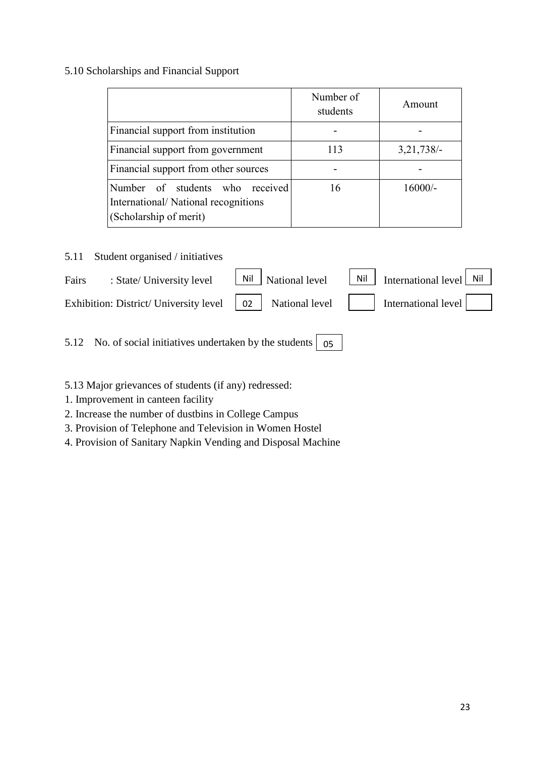## 5.10 Scholarships and Financial Support

|                                                                                                  | Number of<br>students | Amount       |
|--------------------------------------------------------------------------------------------------|-----------------------|--------------|
| Financial support from institution                                                               |                       |              |
| Financial support from government                                                                | 113                   | $3,21,738/-$ |
| Financial support from other sources                                                             |                       |              |
| Number of students who received<br>International/National recognitions<br>(Scholarship of merit) | 16                    | $16000/-$    |

## 5.11 Student organised / initiatives

| Fairs | : State/ University level                                                                                    | $\boxed{\text{Nil}}$ National level | $\begin{array}{ c c c c c c } \hline \end{array}$ Nil   International level   Nil |  |
|-------|--------------------------------------------------------------------------------------------------------------|-------------------------------------|-----------------------------------------------------------------------------------|--|
|       | Exhibition: District/University level $\begin{array}{ c c c } \hline 02 & \text{National level} \end{array}$ |                                     | International level                                                               |  |
|       |                                                                                                              |                                     |                                                                                   |  |

5.12 No. of social initiatives undertaken by the students 05

# 5.13 Major grievances of students (if any) redressed:

- 1. Improvement in canteen facility
- 2. Increase the number of dustbins in College Campus
- 3. Provision of Telephone and Television in Women Hostel
- 4. Provision of Sanitary Napkin Vending and Disposal Machine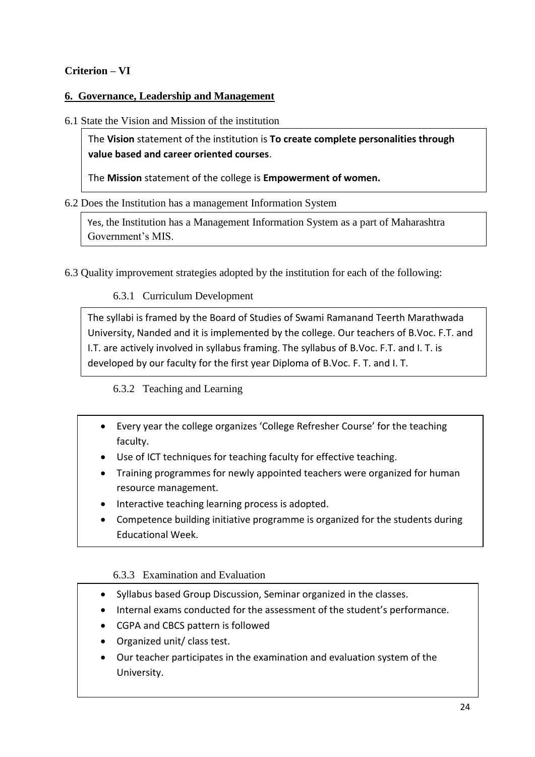# **Criterion – VI**

## **6. Governance, Leadership and Management**

### 6.1 State the Vision and Mission of the institution

The **Vision** statement of the institution is **To create complete personalities through value based and career oriented courses**.

The **Mission** statement of the college is **Empowerment of women.**

#### 6.2 Does the Institution has a management Information System

Yes, the Institution has a Management Information System as a part of Maharashtra Government's MIS.

6.3 Quality improvement strategies adopted by the institution for each of the following:

# 6.3.1 Curriculum Development

The syllabi is framed by the Board of Studies of Swami Ramanand Teerth Marathwada University, Nanded and it is implemented by the college. Our teachers of B.Voc. F.T. and I.T. are actively involved in syllabus framing. The syllabus of B.Voc. F.T. and I. T. is developed by our faculty for the first year Diploma of B.Voc. F. T. and I. T.

# 6.3.2 Teaching and Learning

- Every year the college organizes 'College Refresher Course' for the teaching faculty.
- Use of ICT techniques for teaching faculty for effective teaching.
- Training programmes for newly appointed teachers were organized for human resource management.
- Interactive teaching learning process is adopted.
- Competence building initiative programme is organized for the students during Educational Week.

#### 6.3.3 Examination and Evaluation

- Syllabus based Group Discussion, Seminar organized in the classes.
- Internal exams conducted for the assessment of the student's performance.
- CGPA and CBCS pattern is followed
- Organized unit/ class test.
- Our teacher participates in the examination and evaluation system of the University.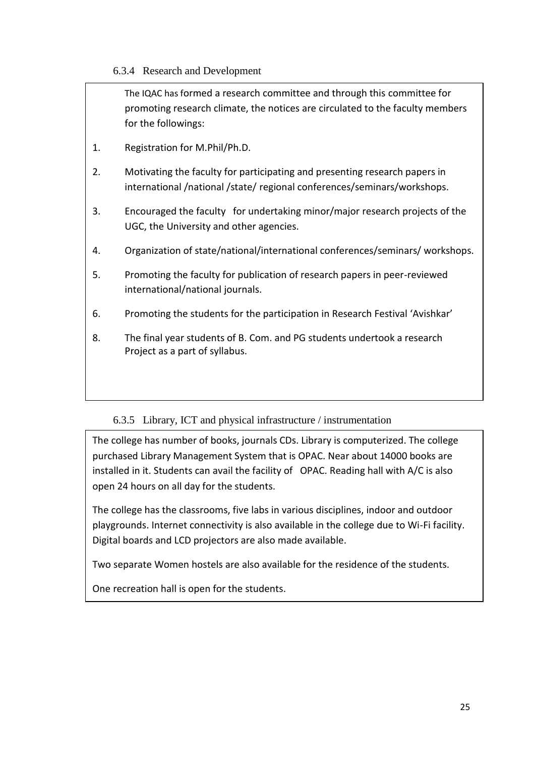6.3.4 Research and Development

The IQAC has formed a research committee and through this committee for promoting research climate, the notices are circulated to the faculty members for the followings: 1. Registration for M.Phil/Ph.D. 2. Motivating the faculty for participating and presenting research papers in international /national /state/ regional conferences/seminars/workshops. 3. Encouraged the faculty for undertaking minor/major research projects of the UGC, the University and other agencies. 4. Organization of state/national/international conferences/seminars/ workshops. 5. Promoting the faculty for publication of research papers in peer-reviewed international/national journals. 6. Promoting the students for the participation in Research Festival 'Avishkar' 8. The final year students of B. Com. and PG students undertook a research Project as a part of syllabus.

# 6.3.5 Library, ICT and physical infrastructure / instrumentation

The college has number of books, journals CDs. Library is computerized. The college purchased Library Management System that is OPAC. Near about 14000 books are installed in it. Students can avail the facility of OPAC. Reading hall with A/C is also open 24 hours on all day for the students.

The college has the classrooms, five labs in various disciplines, indoor and outdoor playgrounds. Internet connectivity is also available in the college due to Wi-Fi facility. Digital boards and LCD projectors are also made available.

Two separate Women hostels are also available for the residence of the students.

One recreation hall is open for the students.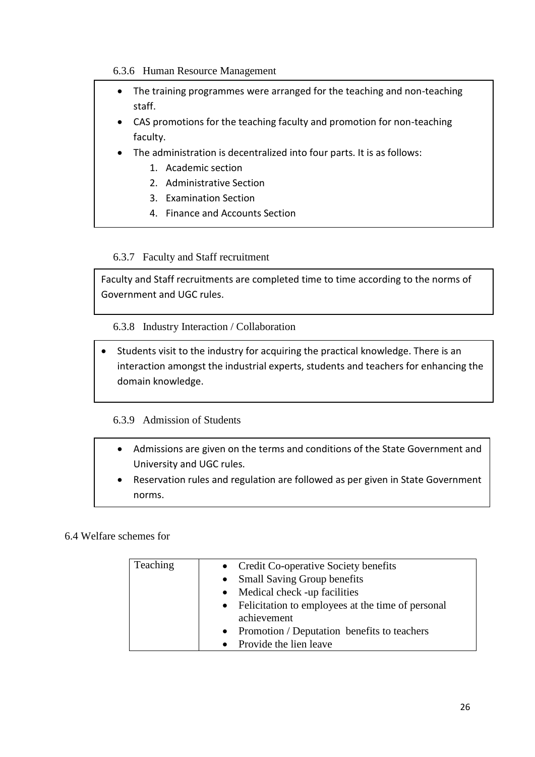#### 6.3.6 Human Resource Management

- The training programmes were arranged for the teaching and non-teaching staff.
- CAS promotions for the teaching faculty and promotion for non-teaching faculty.
- The administration is decentralized into four parts. It is as follows:
	- 1. Academic section
	- 2. Administrative Section
	- 3. Examination Section
	- 4. Finance and Accounts Section

## 6.3.7 Faculty and Staff recruitment

Faculty and Staff recruitments are completed time to time according to the norms of Government and UGC rules.

6.3.8 Industry Interaction / Collaboration

 Students visit to the industry for acquiring the practical knowledge. There is an interaction amongst the industrial experts, students and teachers for enhancing the domain knowledge.

#### 6.3.9 Admission of Students

- Admissions are given on the terms and conditions of the State Government and University and UGC rules.
- Reservation rules and regulation are followed as per given in State Government norms.

### 6.4 Welfare schemes for

| Teaching | • Credit Co-operative Society benefits              |
|----------|-----------------------------------------------------|
|          | • Small Saving Group benefits                       |
|          | $\bullet$ Medical check -up facilities              |
|          | • Felicitation to employees at the time of personal |
|          | achievement                                         |
|          | • Promotion / Deputation benefits to teachers       |
|          | • Provide the lien leave                            |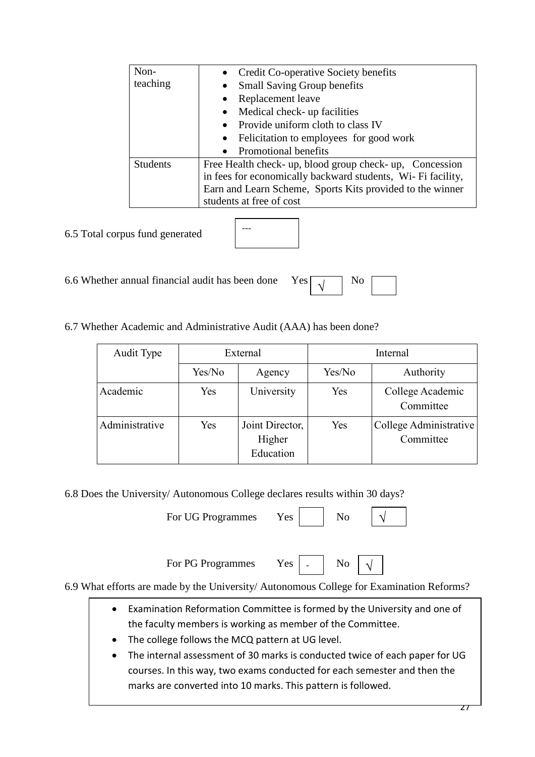| Non-            | Credit Co-operative Society benefits                         |  |  |  |  |
|-----------------|--------------------------------------------------------------|--|--|--|--|
| teaching        | <b>Small Saving Group benefits</b>                           |  |  |  |  |
|                 | Replacement leave                                            |  |  |  |  |
|                 | Medical check- up facilities                                 |  |  |  |  |
|                 | • Provide uniform cloth to class IV                          |  |  |  |  |
|                 | • Felicitation to employees for good work                    |  |  |  |  |
|                 | • Promotional benefits                                       |  |  |  |  |
| <b>Students</b> | Free Health check- up, blood group check- up, Concession     |  |  |  |  |
|                 | in fees for economically backward students, Wi- Fi facility, |  |  |  |  |
|                 | Earn and Learn Scheme, Sports Kits provided to the winner    |  |  |  |  |
|                 | students at free of cost                                     |  |  |  |  |

6.5 Total corpus fund generated

| --- |  |  |
|-----|--|--|
|     |  |  |
|     |  |  |
|     |  |  |

6.6 Whether annual financial audit has been done  $Y_1$ 

| $\overline{\phantom{a}}$ |  |  |
|--------------------------|--|--|
|--------------------------|--|--|

6.7 Whether Academic and Administrative Audit (AAA) has been done?

| Audit Type     | External |                                        | Internal |                                     |  |
|----------------|----------|----------------------------------------|----------|-------------------------------------|--|
|                | Yes/No   | Agency                                 | Yes/No   | Authority                           |  |
| Academic       | Yes      | University                             | Yes      | College Academic<br>Committee       |  |
| Administrative | Yes      | Joint Director,<br>Higher<br>Education | Yes      | College Administrative<br>Committee |  |

6.8 Does the University/ Autonomous College declares results within 30 days?

| For UG Programmes | Yes |    |  |
|-------------------|-----|----|--|
| For PG Programmes | Yes | No |  |

6.9 What efforts are made by the University/ Autonomous College for Examination Reforms?

- Examination Reformation Committee is formed by the University and one of the faculty members is working as member of the Committee.
- The college follows the MCQ pattern at UG level.
- The internal assessment of 30 marks is conducted twice of each paper for UG courses. In this way, two exams conducted for each semester and then the marks are converted into 10 marks. This pattern is followed.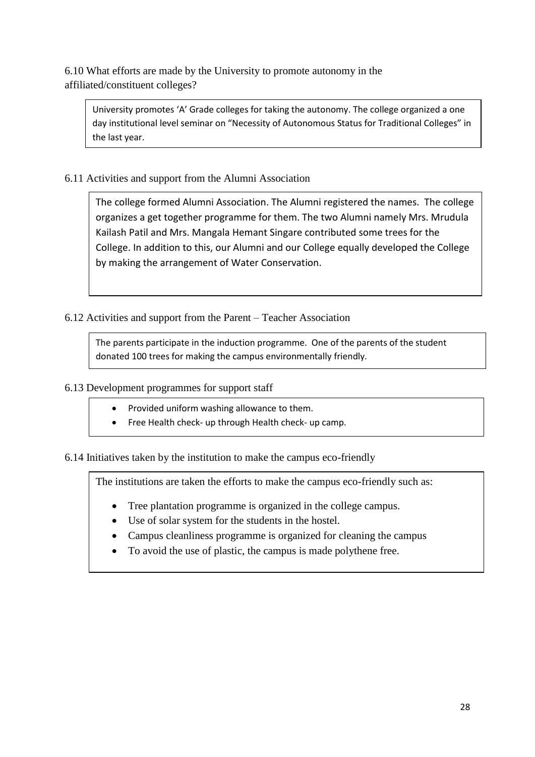6.10 What efforts are made by the University to promote autonomy in the affiliated/constituent colleges?

University promotes 'A' Grade colleges for taking the autonomy. The college organized a one day institutional level seminar on "Necessity of Autonomous Status for Traditional Colleges" in the last year.

6.11 Activities and support from the Alumni Association

The college formed Alumni Association. The Alumni registered the names. The college organizes a get together programme for them. The two Alumni namely Mrs. Mrudula Kailash Patil and Mrs. Mangala Hemant Singare contributed some trees for the College. In addition to this, our Alumni and our College equally developed the College by making the arrangement of Water Conservation.

6.12 Activities and support from the Parent – Teacher Association

The parents participate in the induction programme. One of the parents of the student donated 100 trees for making the campus environmentally friendly.

6.13 Development programmes for support staff

- Provided uniform washing allowance to them.
- Free Health check- up through Health check- up camp.

6.14 Initiatives taken by the institution to make the campus eco-friendly

The institutions are taken the efforts to make the campus eco-friendly such as:

- Tree plantation programme is organized in the college campus.
- Use of solar system for the students in the hostel.
- Campus cleanliness programme is organized for cleaning the campus
- To avoid the use of plastic, the campus is made polythene free.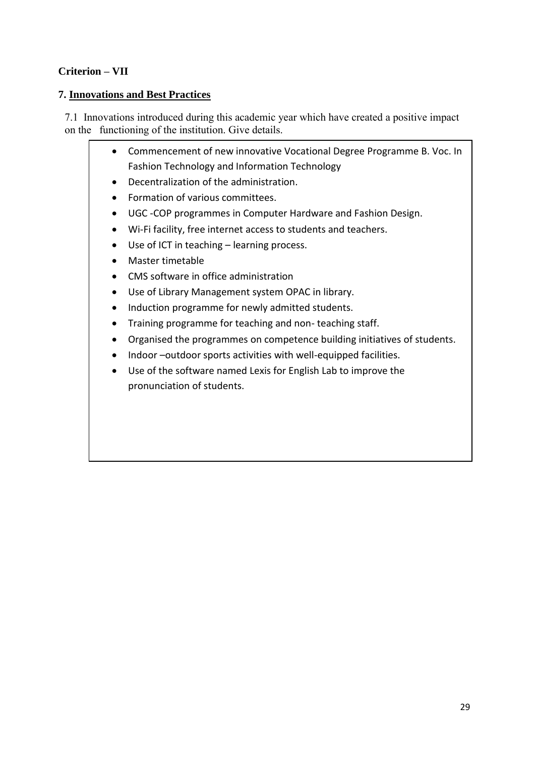# **Criterion – VII**

# **7. Innovations and Best Practices**

7.1 Innovations introduced during this academic year which have created a positive impact on the functioning of the institution. Give details.

- Commencement of new innovative Vocational Degree Programme B. Voc. In Fashion Technology and Information Technology
- Decentralization of the administration.
- Formation of various committees.
- UGC -COP programmes in Computer Hardware and Fashion Design.
- Wi-Fi facility, free internet access to students and teachers.
- Use of ICT in teaching learning process.
- Master timetable
- CMS software in office administration
- Use of Library Management system OPAC in library.
- Induction programme for newly admitted students.
- Training programme for teaching and non-teaching staff.
- Organised the programmes on competence building initiatives of students.
- Indoor –outdoor sports activities with well-equipped facilities.
- Use of the software named Lexis for English Lab to improve the pronunciation of students.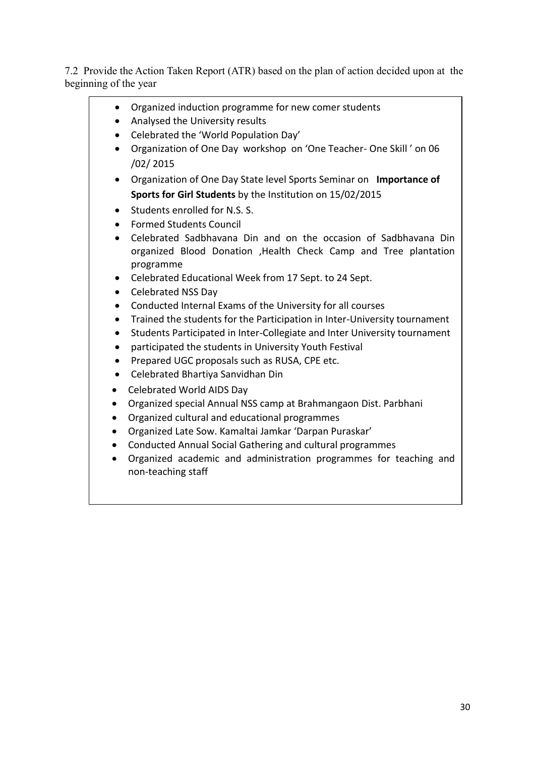7.2 Provide the Action Taken Report (ATR) based on the plan of action decided upon at the beginning of the year

- Organized induction programme for new comer students
- Analysed the University results
- Celebrated the 'World Population Day'
- Organization of One Day workshop on 'One Teacher- One Skill ' on 06 /02/ 2015
- Organization of One Day State level Sports Seminar on **Importance of Sports for Girl Students** by the Institution on 15/02/2015
- Students enrolled for N.S. S.
- Formed Students Council
- Celebrated Sadbhavana Din and on the occasion of Sadbhavana Din organized Blood Donation ,Health Check Camp and Tree plantation programme
- Celebrated Educational Week from 17 Sept. to 24 Sept.
- Celebrated NSS Dav
- Conducted Internal Exams of the University for all courses
- Trained the students for the Participation in Inter-University tournament
- Students Participated in Inter-Collegiate and Inter University tournament
- participated the students in University Youth Festival
- Prepared UGC proposals such as RUSA, CPE etc.
- Celebrated Bhartiya Sanvidhan Din
- Celebrated World AIDS Day
- Organized special Annual NSS camp at Brahmangaon Dist. Parbhani
- Organized cultural and educational programmes
- Organized Late Sow. Kamaltai Jamkar 'Darpan Puraskar'
- Conducted Annual Social Gathering and cultural programmes
- Organized academic and administration programmes for teaching and non-teaching staff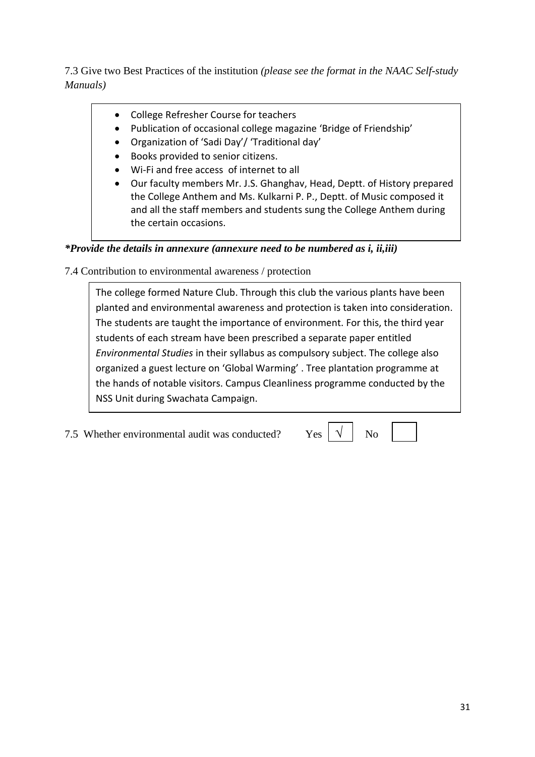7.3 Give two Best Practices of the institution *(please see the format in the NAAC Self-study Manuals)*

- College Refresher Course for teachers
- Publication of occasional college magazine 'Bridge of Friendship'
- Organization of 'Sadi Day'/ 'Traditional day'
- Books provided to senior citizens.
- Wi-Fi and free access of internet to all
- Our faculty members Mr. J.S. Ghanghav, Head, Deptt. of History prepared the College Anthem and Ms. Kulkarni P. P., Deptt. of Music composed it and all the staff members and students sung the College Anthem during the certain occasions.

# *\*Provide the details in annexure (annexure need to be numbered as i, ii,iii)*

7.4 Contribution to environmental awareness / protection

The college formed Nature Club. Through this club the various plants have been planted and environmental awareness and protection is taken into consideration. The students are taught the importance of environment. For this, the third year students of each stream have been prescribed a separate paper entitled *Environmental Studies* in their syllabus as compulsory subject. The college also organized a guest lecture on 'Global Warming' . Tree plantation programme at the hands of notable visitors. Campus Cleanliness programme conducted by the NSS Unit during Swachata Campaign.

7.5 Whether environmental audit was conducted? Yes  $\sqrt{1 + N_0}$ 

√

31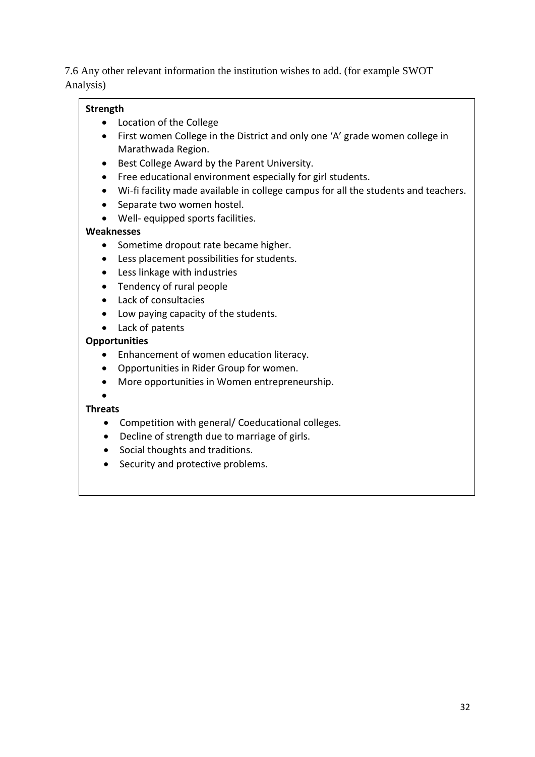7.6 Any other relevant information the institution wishes to add. (for example SWOT Analysis)

# **Strength**

- Location of the College
- First women College in the District and only one 'A' grade women college in Marathwada Region.
- Best College Award by the Parent University.
- Free educational environment especially for girl students.
- Wi-fi facility made available in college campus for all the students and teachers.
- Separate two women hostel.
- Well- equipped sports facilities.

## **Weaknesses**

- Sometime dropout rate became higher.
- Less placement possibilities for students.
- Less linkage with industries
- Tendency of rural people
- Lack of consultacies
- Low paying capacity of the students.
- Lack of patents

## **Opportunities**

- Enhancement of women education literacy.
- Opportunities in Rider Group for women.
- More opportunities in Women entrepreneurship.

#### $\bullet$ **Threats**

- Competition with general/ Coeducational colleges.
- Decline of strength due to marriage of girls.
- Social thoughts and traditions.
- Security and protective problems.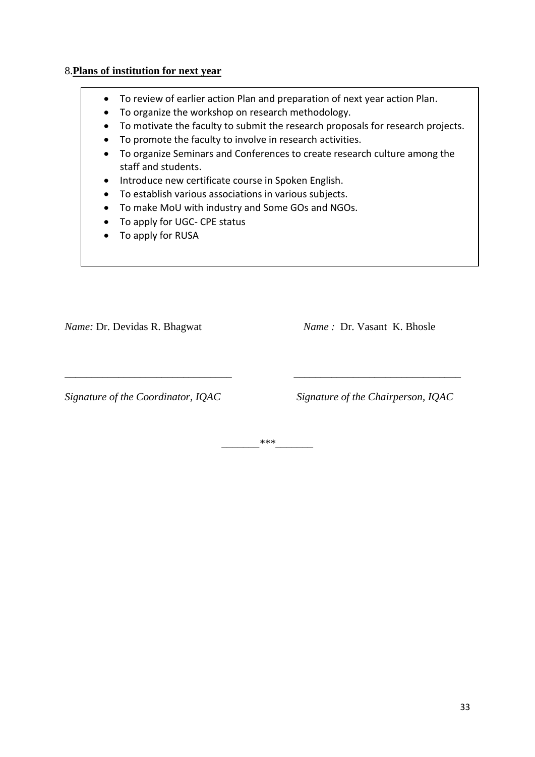#### 8.**Plans of institution for next year**

- To review of earlier action Plan and preparation of next year action Plan.
- To organize the workshop on research methodology.
- To motivate the faculty to submit the research proposals for research projects.
- To promote the faculty to involve in research activities.
- To organize Seminars and Conferences to create research culture among the staff and students.
- Introduce new certificate course in Spoken English.
- To establish various associations in various subjects.
- To make MoU with industry and Some GOs and NGOs.
- To apply for UGC- CPE status
- To apply for RUSA

*Name:* Dr. Devidas R. Bhagwat *Name* : Dr. Vasant K. Bhosle

*Signature of the Coordinator, IQAC Signature of the Chairperson, IQAC*

*\_\_\_\_\_\_\_\*\*\*\_\_\_\_\_\_\_*

*\_\_\_\_\_\_\_\_\_\_\_\_\_\_\_\_\_\_\_\_\_\_\_\_\_\_\_\_\_\_\_ \_\_\_\_\_\_\_\_\_\_\_\_\_\_\_\_\_\_\_\_\_\_\_\_\_\_\_\_\_\_\_*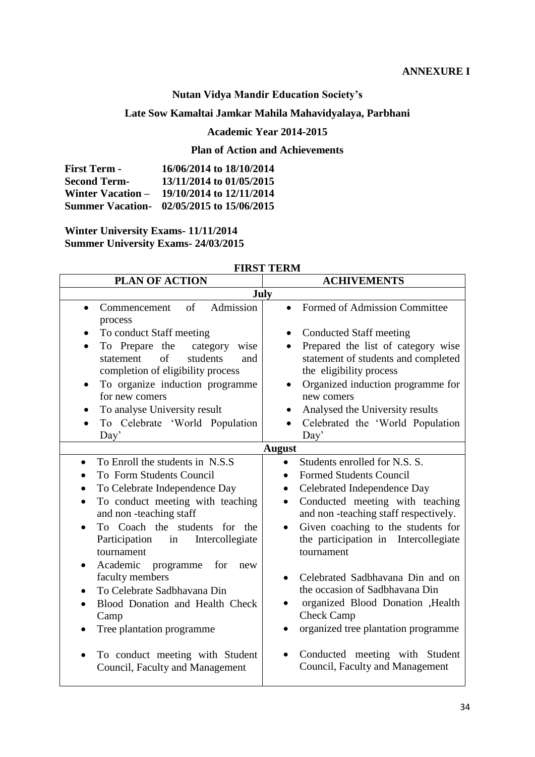# **Nutan Vidya Mandir Education Society's**

# **Late Sow Kamaltai Jamkar Mahila Mahavidyalaya, Parbhani**

## **Academic Year 2014-2015**

## **Plan of Action and Achievements**

| <b>First Term -</b>      | 16/06/2014 to 18/10/2014                  |
|--------------------------|-------------------------------------------|
| <b>Second Term-</b>      | 13/11/2014 to 01/05/2015                  |
| <b>Winter Vacation –</b> | 19/10/2014 to 12/11/2014                  |
|                          | Summer Vacation- 02/05/2015 to 15/06/2015 |

**Winter University Exams- 11/11/2014 Summer University Exams- 24/03/2015**

| <b>PLAN OF ACTION</b>                                                                                                                                                                                                                                                                                                                                                                                     | <b>ACHIVEMENTS</b>                                                                                                                                                                                                                                                                                                                                                                                                                                        |  |  |
|-----------------------------------------------------------------------------------------------------------------------------------------------------------------------------------------------------------------------------------------------------------------------------------------------------------------------------------------------------------------------------------------------------------|-----------------------------------------------------------------------------------------------------------------------------------------------------------------------------------------------------------------------------------------------------------------------------------------------------------------------------------------------------------------------------------------------------------------------------------------------------------|--|--|
| July                                                                                                                                                                                                                                                                                                                                                                                                      |                                                                                                                                                                                                                                                                                                                                                                                                                                                           |  |  |
| Admission<br>of<br>Commencement<br>process                                                                                                                                                                                                                                                                                                                                                                | Formed of Admission Committee                                                                                                                                                                                                                                                                                                                                                                                                                             |  |  |
| To conduct Staff meeting<br>To Prepare the<br>category<br>wise<br>$\sigma$ f<br>students<br>statement<br>and<br>completion of eligibility process<br>To organize induction programme<br>for new comers<br>To analyse University result<br>To Celebrate 'World Population<br>Day'                                                                                                                          | <b>Conducted Staff meeting</b><br>Prepared the list of category wise<br>statement of students and completed<br>the eligibility process<br>Organized induction programme for<br>new comers<br>Analysed the University results<br>Celebrated the 'World Population<br>Day'                                                                                                                                                                                  |  |  |
|                                                                                                                                                                                                                                                                                                                                                                                                           | <b>August</b>                                                                                                                                                                                                                                                                                                                                                                                                                                             |  |  |
| To Enroll the students in N.S.S.<br>To Form Students Council<br>To Celebrate Independence Day<br>To conduct meeting with teaching<br>and non-teaching staff<br>To Coach the students for the<br>Participation in Intercollegiate<br>tournament<br>Academic programme for<br>new<br>faculty members<br>To Celebrate Sadbhavana Din<br>Blood Donation and Health Check<br>Camp<br>Tree plantation programme | Students enrolled for N.S. S.<br><b>Formed Students Council</b><br>Celebrated Independence Day<br>Conducted meeting with teaching<br>$\bullet$<br>and non-teaching staff respectively.<br>Given coaching to the students for<br>the participation in Intercollegiate<br>tournament<br>Celebrated Sadbhavana Din and on<br>the occasion of Sadbhavana Din<br>organized Blood Donation , Health<br><b>Check Camp</b><br>organized tree plantation programme |  |  |
| To conduct meeting with Student<br>Council, Faculty and Management                                                                                                                                                                                                                                                                                                                                        | Conducted meeting with Student<br>Council, Faculty and Management                                                                                                                                                                                                                                                                                                                                                                                         |  |  |

### **FIRST TERM**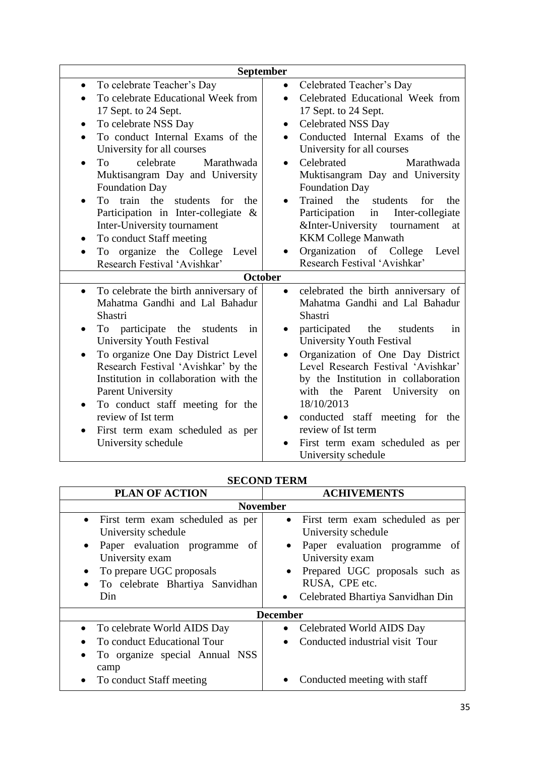| September                                           |                                                                    |  |
|-----------------------------------------------------|--------------------------------------------------------------------|--|
| To celebrate Teacher's Day<br>$\bullet$             | Celebrated Teacher's Day                                           |  |
| To celebrate Educational Week from                  | Celebrated Educational Week from                                   |  |
| 17 Sept. to 24 Sept.                                | 17 Sept. to 24 Sept.                                               |  |
| To celebrate NSS Day<br>$\bullet$                   | <b>Celebrated NSS Day</b><br>$\bullet$                             |  |
| To conduct Internal Exams of the                    | Conducted Internal Exams of the                                    |  |
| University for all courses                          | University for all courses                                         |  |
| celebrate<br>To<br>Marathwada<br>$\bullet$          | Celebrated<br>Marathwada<br>$\bullet$                              |  |
| Muktisangram Day and University                     | Muktisangram Day and University                                    |  |
| <b>Foundation Day</b>                               | <b>Foundation Day</b>                                              |  |
| To train the<br>students<br>for<br>the<br>$\bullet$ | Trained the<br>students<br>for<br>the<br>$\bullet$                 |  |
| Participation in Inter-collegiate<br>$\&$           | Participation<br>Inter-collegiate<br>in                            |  |
| Inter-University tournament                         | &Inter-University<br>tournament<br>at                              |  |
| To conduct Staff meeting                            | <b>KKM College Manwath</b>                                         |  |
| To organize the College<br>Level                    | Organization of College<br>Level                                   |  |
| Research Festival 'Avishkar'                        | Research Festival 'Avishkar'                                       |  |
|                                                     | <b>October</b>                                                     |  |
| To celebrate the birth anniversary of<br>$\bullet$  | celebrated the birth anniversary of<br>$\bullet$                   |  |
| Mahatma Gandhi and Lal Bahadur                      | Mahatma Gandhi and Lal Bahadur                                     |  |
| Shastri                                             | Shastri                                                            |  |
| To participate the students<br>in                   | participated<br>the<br>students<br>in                              |  |
| University Youth Festival                           | University Youth Festival                                          |  |
| To organize One Day District Level<br>$\bullet$     | Organization of One Day District                                   |  |
| Research Festival 'Avishkar' by the                 | Level Research Festival 'Avishkar'                                 |  |
| Institution in collaboration with the               | by the Institution in collaboration                                |  |
| <b>Parent University</b>                            | with the Parent University<br>on                                   |  |
| To conduct staff meeting for the<br>$\bullet$       | 18/10/2013                                                         |  |
| review of Ist term                                  | conducted staff meeting for the<br>$\bullet$<br>review of Ist term |  |
| First term exam scheduled as per                    |                                                                    |  |
| University schedule                                 | First term exam scheduled as per                                   |  |
|                                                     | University schedule                                                |  |

| DECORD TERMI                                                                                                                                                                                       |                                                                                                                                                                                                                                               |  |  |
|----------------------------------------------------------------------------------------------------------------------------------------------------------------------------------------------------|-----------------------------------------------------------------------------------------------------------------------------------------------------------------------------------------------------------------------------------------------|--|--|
| <b>PLAN OF ACTION</b>                                                                                                                                                                              | <b>ACHIVEMENTS</b>                                                                                                                                                                                                                            |  |  |
| <b>November</b>                                                                                                                                                                                    |                                                                                                                                                                                                                                               |  |  |
| • First term exam scheduled as per<br>University schedule<br>• Paper evaluation programme of<br>University exam<br>To prepare UGC proposals<br>To celebrate Bhartiya Sanvidhan<br>$\bullet$<br>Din | • First term exam scheduled as per<br>University schedule<br>Paper evaluation programme of<br>$\bullet$<br>University exam<br>Prepared UGC proposals such as<br>$\bullet$<br>RUSA, CPE etc.<br>Celebrated Bhartiya Sanvidhan Din<br>$\bullet$ |  |  |
| <b>December</b>                                                                                                                                                                                    |                                                                                                                                                                                                                                               |  |  |
| • To celebrate World AIDS Day<br>To conduct Educational Tour<br>To organize special Annual NSS<br>camp                                                                                             | Celebrated World AIDS Day<br>$\bullet$<br>Conducted industrial visit Tour<br>$\bullet$                                                                                                                                                        |  |  |
| To conduct Staff meeting<br>$\bullet$                                                                                                                                                              | Conducted meeting with staff                                                                                                                                                                                                                  |  |  |

**SECOND TERM**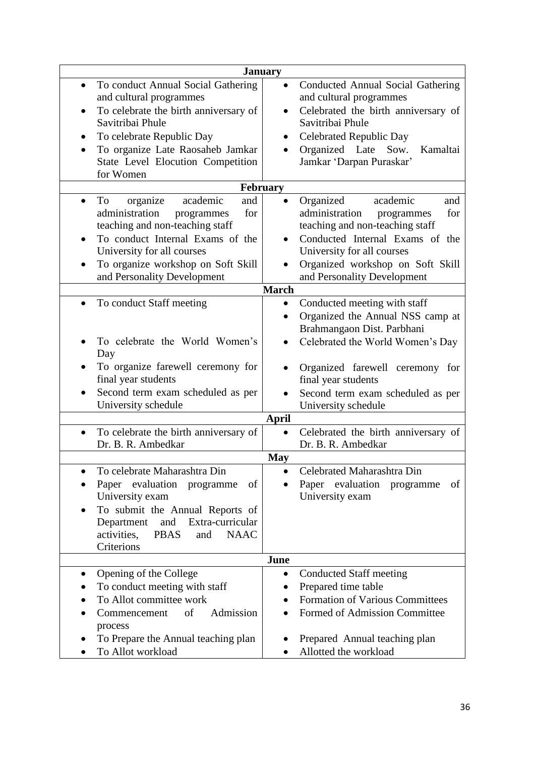| <b>January</b>                                                                                                                                                                                                                                                          |                                                                                                                                                                                                                                                            |  |
|-------------------------------------------------------------------------------------------------------------------------------------------------------------------------------------------------------------------------------------------------------------------------|------------------------------------------------------------------------------------------------------------------------------------------------------------------------------------------------------------------------------------------------------------|--|
| To conduct Annual Social Gathering<br>$\bullet$<br>and cultural programmes<br>To celebrate the birth anniversary of<br>$\bullet$<br>Savitribai Phule<br>To celebrate Republic Day<br>To organize Late Raosaheb Jamkar<br>State Level Elocution Competition<br>for Women | Conducted Annual Social Gathering<br>and cultural programmes<br>Celebrated the birth anniversary of<br>Savitribai Phule<br>Celebrated Republic Day<br>Organized Late<br>Sow.<br>Kamaltai<br>Jamkar 'Darpan Puraskar'                                       |  |
| February                                                                                                                                                                                                                                                                |                                                                                                                                                                                                                                                            |  |
| academic<br>organize<br>To<br>and<br>$\bullet$<br>administration<br>for<br>programmes<br>teaching and non-teaching staff<br>To conduct Internal Exams of the<br>University for all courses<br>To organize workshop on Soft Skill<br>and Personality Development         | Organized<br>academic<br>and<br>administration<br>for<br>programmes<br>teaching and non-teaching staff<br>Conducted Internal Exams of the<br>University for all courses<br>Organized workshop on Soft Skill<br>and Personality Development<br><b>March</b> |  |
| To conduct Staff meeting                                                                                                                                                                                                                                                | Conducted meeting with staff<br>$\bullet$                                                                                                                                                                                                                  |  |
| To celebrate the World Women's<br>Day<br>To organize farewell ceremony for<br>final year students<br>Second term exam scheduled as per<br>University schedule                                                                                                           | Organized the Annual NSS camp at<br>$\bullet$<br>Brahmangaon Dist. Parbhani<br>Celebrated the World Women's Day<br>Organized farewell ceremony for<br>final year students<br>Second term exam scheduled as per<br>University schedule<br><b>April</b>      |  |
| To celebrate the birth anniversary of<br>$\bullet$<br>Dr. B. R. Ambedkar                                                                                                                                                                                                | Celebrated the birth anniversary of<br>$\bullet$<br>Dr. B. R. Ambedkar                                                                                                                                                                                     |  |
|                                                                                                                                                                                                                                                                         | <b>May</b>                                                                                                                                                                                                                                                 |  |
| To celebrate Maharashtra Din<br>Paper evaluation programme<br>of<br>University exam<br>To submit the Annual Reports of<br>Extra-curricular<br>Department<br>and<br>activities,<br><b>PBAS</b><br><b>NAAC</b><br>and<br>Criterions                                       | Celebrated Maharashtra Din<br>Paper evaluation<br>of<br>programme<br>University exam                                                                                                                                                                       |  |
|                                                                                                                                                                                                                                                                         | June                                                                                                                                                                                                                                                       |  |
| Opening of the College<br>To conduct meeting with staff<br>To Allot committee work<br>of<br>Admission<br>Commencement<br>process<br>To Prepare the Annual teaching plan                                                                                                 | <b>Conducted Staff meeting</b><br>$\bullet$<br>Prepared time table<br>$\bullet$<br><b>Formation of Various Committees</b><br>Formed of Admission Committee<br>Prepared Annual teaching plan                                                                |  |
| To Allot workload                                                                                                                                                                                                                                                       | Allotted the workload                                                                                                                                                                                                                                      |  |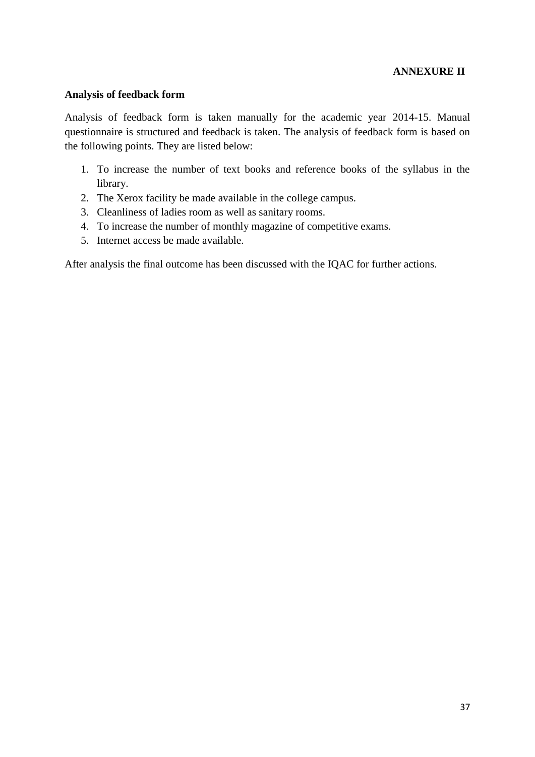#### **ANNEXURE II**

#### **Analysis of feedback form**

Analysis of feedback form is taken manually for the academic year 2014-15. Manual questionnaire is structured and feedback is taken. The analysis of feedback form is based on the following points. They are listed below:

- 1. To increase the number of text books and reference books of the syllabus in the library.
- 2. The Xerox facility be made available in the college campus.
- 3. Cleanliness of ladies room as well as sanitary rooms.
- 4. To increase the number of monthly magazine of competitive exams.
- 5. Internet access be made available.

After analysis the final outcome has been discussed with the IQAC for further actions.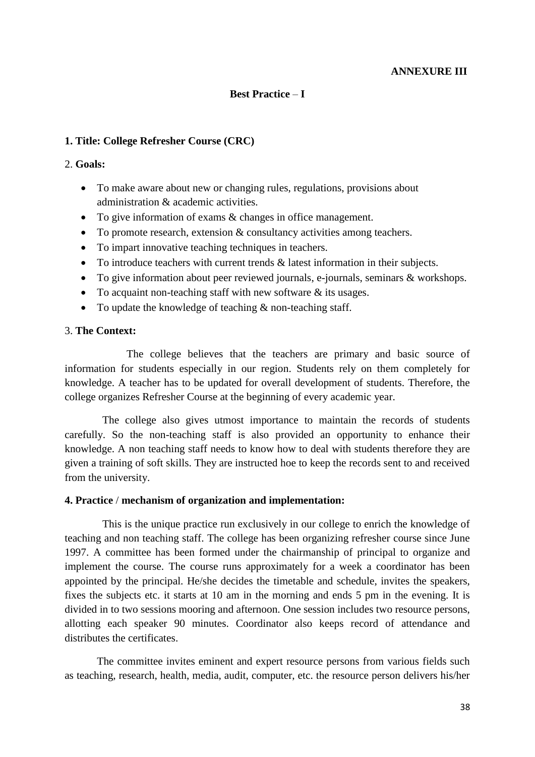#### **ANNEXURE III**

#### **Best Practice** – **I**

#### **1. Title: College Refresher Course (CRC)**

#### 2. **Goals:**

- To make aware about new or changing rules, regulations, provisions about administration & academic activities.
- To give information of exams & changes in office management.
- To promote research, extension & consultancy activities among teachers.
- To impart innovative teaching techniques in teachers.
- $\bullet$  To introduce teachers with current trends  $\&$  latest information in their subjects.
- To give information about peer reviewed journals, e-journals, seminars & workshops.
- To acquaint non-teaching staff with new software  $\&$  its usages.
- To update the knowledge of teaching & non-teaching staff.

#### 3. **The Context:**

The college believes that the teachers are primary and basic source of information for students especially in our region. Students rely on them completely for knowledge. A teacher has to be updated for overall development of students. Therefore, the college organizes Refresher Course at the beginning of every academic year.

 The college also gives utmost importance to maintain the records of students carefully. So the non-teaching staff is also provided an opportunity to enhance their knowledge. A non teaching staff needs to know how to deal with students therefore they are given a training of soft skills. They are instructed hoe to keep the records sent to and received from the university.

#### **4. Practice** / **mechanism of organization and implementation:**

 This is the unique practice run exclusively in our college to enrich the knowledge of teaching and non teaching staff. The college has been organizing refresher course since June 1997. A committee has been formed under the chairmanship of principal to organize and implement the course. The course runs approximately for a week a coordinator has been appointed by the principal. He/she decides the timetable and schedule, invites the speakers, fixes the subjects etc. it starts at 10 am in the morning and ends 5 pm in the evening. It is divided in to two sessions mooring and afternoon. One session includes two resource persons, allotting each speaker 90 minutes. Coordinator also keeps record of attendance and distributes the certificates.

 The committee invites eminent and expert resource persons from various fields such as teaching, research, health, media, audit, computer, etc. the resource person delivers his/her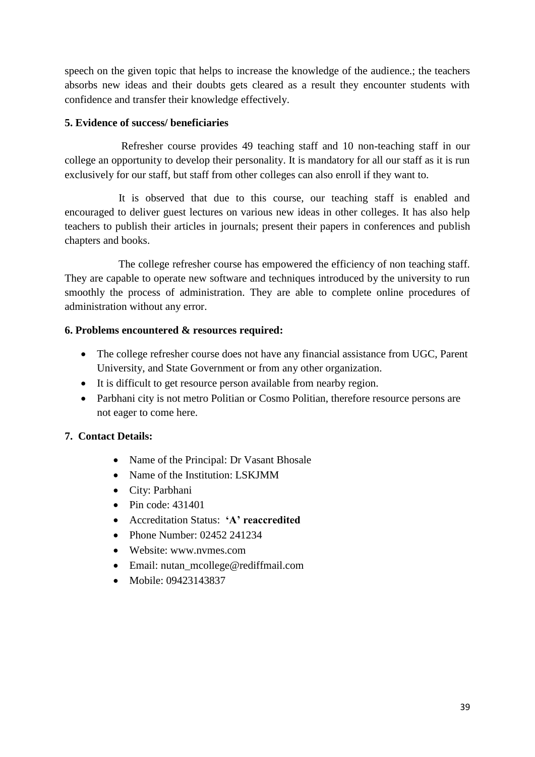speech on the given topic that helps to increase the knowledge of the audience.; the teachers absorbs new ideas and their doubts gets cleared as a result they encounter students with confidence and transfer their knowledge effectively.

## **5. Evidence of success/ beneficiaries**

 Refresher course provides 49 teaching staff and 10 non-teaching staff in our college an opportunity to develop their personality. It is mandatory for all our staff as it is run exclusively for our staff, but staff from other colleges can also enroll if they want to.

 It is observed that due to this course, our teaching staff is enabled and encouraged to deliver guest lectures on various new ideas in other colleges. It has also help teachers to publish their articles in journals; present their papers in conferences and publish chapters and books.

 The college refresher course has empowered the efficiency of non teaching staff. They are capable to operate new software and techniques introduced by the university to run smoothly the process of administration. They are able to complete online procedures of administration without any error.

# **6. Problems encountered & resources required:**

- The college refresher course does not have any financial assistance from UGC, Parent University, and State Government or from any other organization.
- It is difficult to get resource person available from nearby region.
- Parbhani city is not metro Politian or Cosmo Politian, therefore resource persons are not eager to come here.

# **7. Contact Details:**

- Name of the Principal: Dr Vasant Bhosale
- Name of the Institution: LSKJMM
- City: Parbhani
- $\bullet$  Pin code: 431401
- Accreditation Status: **'A' reaccredited**
- Phone Number: 02452 241234
- Website: www.nvmes.com
- Email: nutan\_mcollege@rediffmail.com
- Mobile: 09423143837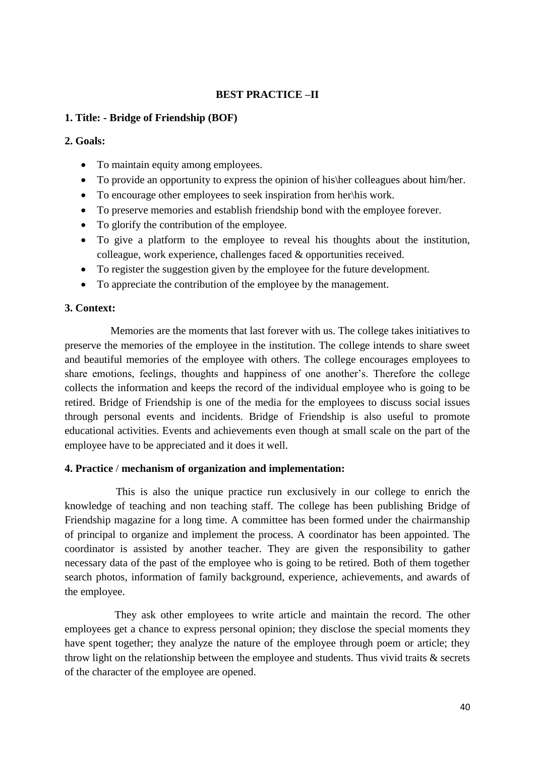## **BEST PRACTICE –II**

#### **1. Title: - Bridge of Friendship (BOF)**

#### **2. Goals:**

- To maintain equity among employees.
- To provide an opportunity to express the opinion of his\her colleagues about him/her.
- To encourage other employees to seek inspiration from her\his work.
- To preserve memories and establish friendship bond with the employee forever.
- To glorify the contribution of the employee.
- To give a platform to the employee to reveal his thoughts about the institution, colleague, work experience, challenges faced & opportunities received.
- To register the suggestion given by the employee for the future development.
- To appreciate the contribution of the employee by the management.

#### **3. Context:**

 Memories are the moments that last forever with us. The college takes initiatives to preserve the memories of the employee in the institution. The college intends to share sweet and beautiful memories of the employee with others. The college encourages employees to share emotions, feelings, thoughts and happiness of one another's. Therefore the college collects the information and keeps the record of the individual employee who is going to be retired. Bridge of Friendship is one of the media for the employees to discuss social issues through personal events and incidents. Bridge of Friendship is also useful to promote educational activities. Events and achievements even though at small scale on the part of the employee have to be appreciated and it does it well.

#### **4. Practice** / **mechanism of organization and implementation:**

 This is also the unique practice run exclusively in our college to enrich the knowledge of teaching and non teaching staff. The college has been publishing Bridge of Friendship magazine for a long time. A committee has been formed under the chairmanship of principal to organize and implement the process. A coordinator has been appointed. The coordinator is assisted by another teacher. They are given the responsibility to gather necessary data of the past of the employee who is going to be retired. Both of them together search photos, information of family background, experience, achievements, and awards of the employee.

They ask other employees to write article and maintain the record. The other employees get a chance to express personal opinion; they disclose the special moments they have spent together; they analyze the nature of the employee through poem or article; they throw light on the relationship between the employee and students. Thus vivid traits  $\&$  secrets of the character of the employee are opened.